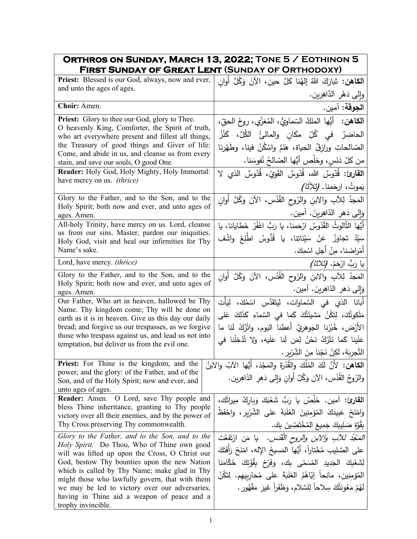| ORTHROS ON SUNDAY, MARCH 13, 2022; TONE 5 / EOTHINON 5<br>FIRST SUNDAY OF GREAT LENT (SUNDAY OF ORTHODOXY)                                                                                                                                                                                                                                                                                                                   |                                                                                                                                                                                                                                                                                                                                                                 |
|------------------------------------------------------------------------------------------------------------------------------------------------------------------------------------------------------------------------------------------------------------------------------------------------------------------------------------------------------------------------------------------------------------------------------|-----------------------------------------------------------------------------------------------------------------------------------------------------------------------------------------------------------------------------------------------------------------------------------------------------------------------------------------------------------------|
| Priest: Blessed is our God, always, now and ever,                                                                                                                                                                                                                                                                                                                                                                            | ا <b>لكاهن:</b> تَبارَكَ اللهُ إلهُنا كلَّ حينِ، الآنَ وَكُلَّ أُوانِ                                                                                                                                                                                                                                                                                           |
| and unto the ages of ages.                                                                                                                                                                                                                                                                                                                                                                                                   | وإلى دَهْرِ الدَّاهِرِينِ.                                                                                                                                                                                                                                                                                                                                      |
| Choir: Amen.                                                                                                                                                                                                                                                                                                                                                                                                                 | ا <b>لجوقة:</b> آمين.                                                                                                                                                                                                                                                                                                                                           |
| Priest: Glory to thee our God, glory to Thee.<br>O heavenly King, Comforter, the Spirit of truth,<br>who art everywhere present and fillest all things,<br>the Treasury of good things and Giver of life:<br>Come, and abide in us, and cleanse us from every<br>stain, and save our souls, O good One.                                                                                                                      | ا <b>لكاهن:</b> أيُّها الملكُ السّماويُّ، المُعَزَّي، روحُ الحقّ،<br>الحاضِرُ في كُلِّ مكانِ والمالئُ الكُلَّ، كَنْزُ<br>الصّالحاتِ ورازقُ الحياة، هَلمَّ واسْكُنْ فينا، وطَهّرنا<br>من كلّ دَنَسٍ، وخلِّص أَيُّها الصّالحُ نُفوسَنا.                                                                                                                           |
| Reader: Holy God, Holy Mighty, Holy Immortal:<br>have mercy on us. <i>(thrice)</i>                                                                                                                                                                                                                                                                                                                                           | ا <b>لقارئ:</b> قُدّوسٌ الله، قُدّوسٌ القَويّ، قُدّوسٌ الذي لا<br>ِيَموتُ، ارجَمنا. <i>(ثلاثًا)</i>                                                                                                                                                                                                                                                             |
| Glory to the Father, and to the Son, and to the<br>Holy Spirit; both now and ever, and unto ages of<br>ages. Amen.                                                                                                                                                                                                                                                                                                           | المَجدُ لِلآبِ والابنِ والرّوحِ القُدُس، الآنَ وَكُلَّ أَوانٍ<br>وَإِلَى دَهِرِ الدَّاهِرِينَ. آمين.                                                                                                                                                                                                                                                            |
| All-holy Trinity, have mercy on us. Lord, cleanse<br>us from our sins. Master, pardon our iniquities.<br>Holy God, visit and heal our infirmities for Thy<br>Name's sake.                                                                                                                                                                                                                                                    | أَيُّها الثَّالوثُ القُدّوسُ ارْحَمنا، يا رَبُّ اغْفُرْ خَطايانا، يا<br>سَيّدُ تَجاوَزْ عَنْ سَيّئاتِنا، يا قُدُّوسُ اطّلِعْ واشْفِ<br>أَمْراضَنا، مِنْ أَجلِ اسْمِكَ.                                                                                                                                                                                          |
| Lord, have mercy. (thrice)                                                                                                                                                                                                                                                                                                                                                                                                   | يا رَبُّ ارْحَمْ. <i>(ثلاثا)</i>                                                                                                                                                                                                                                                                                                                                |
| Glory to the Father, and to the Son, and to the<br>Holy Spirit; both now and ever, and unto ages of<br>ages. Amen.                                                                                                                                                                                                                                                                                                           | المَجدُ لِلآبِ والابنِ والرّوحِ القُدُس، الآنَ وَكُلَّ أُوان<br>وَإِلَى دَهْرِ الدَّاهِرِينَ. آمين.                                                                                                                                                                                                                                                             |
| Our Father, Who art in heaven, hallowed be Thy<br>Name. Thy kingdom come; Thy will be done on<br>earth as it is in heaven. Give us this day our daily<br>bread; and forgive us our trespasses, as we forgive<br>those who trespass against us, and lead us not into<br>temptation, but deliver us from the evil one.                                                                                                         | أَبانا الذي في السَّماوات، لِيَتَقَدَّسِ اسْمُكَ، لِيَأْتِ<br>مَلَكوتُكَ، لِتَكُنْ مَشيئَتُكَ كَما في السَّماءِ كَذَلِكَ عَلى<br>الأَرْض، خُبْزَنا الْجَوهَرِيَّ أَعطِنا اليَوم، واتْرُكْ لَنا ما<br>عَلَينا كَما نَتْرُكُ نَحْنُ لِمَن لَنا عَلَيه، وَلا تُدْخِلْنا في<br>التَّجرِيَة، لَكِنْ نَجِّنا مِنَ الشِّرّيرِ .                                        |
| Priest: For Thine is the kingdom, and the<br>power, and the glory: of the Father, and of the<br>Son, and of the Holy Spirit; now and ever, and<br>unto ages of ages.                                                                                                                                                                                                                                                         | ا <b>لكاهن:</b> لأنَّ لَكَ المُلْكَ والقُدْرَةَ والمَجْدَ، أَيُّها الآبُ والابنُ<br>والرّوحُ القُدُس، الآنَ وَكُلَّ أُوانٍ وَإِلَى دَهْرِ الدّاهِرِينِ.                                                                                                                                                                                                         |
| Reader: Amen. O Lord, save Thy people and<br>bless Thine inheritance, granting to Thy people<br>victory over all their enemies, and by the power of<br>Thy Cross preserving Thy commonwealth.                                                                                                                                                                                                                                | القارئ: آمين. خَلِّصْ يا رَبُّ شَعْبَكَ وَبِارِكْ مِيراثَك،<br>وَامْنَحْ عَبِيدَكَ الْمُؤْمِنِينَ الغَلَبَةَ على الشِّرّيرِ ، وَلحْفَظْ<br>بِقُوَّةٍ صَلِيبِكَ جَمِيعَ المُخْتَصِّينَ بِك.                                                                                                                                                                      |
| Glory to the Father, and to the Son, and to the<br>Holy Spirit. Do Thou, Who of Thine own good<br>will was lifted up upon the Cross, O Christ our<br>God, bestow Thy bounties upon the new Nation<br>which is called by Thy Name; make glad in Thy<br>might those who lawfully govern, that with them<br>we may be led to victory over our adversaries,<br>having in Thine aid a weapon of peace and a<br>trophy invincible. | <i>المَجْدُ للأبِ والابنِ والروح القُدُس.</i> يا مَنِ ارْتَفَعْتَ<br>على الصَّلِيبِ مُخْتاراً، أيُّها المَسِيحُ اﻹله، امْنَحْ رَأَفَتَكَ<br>لِشَعْبِكَ الْجَدِيدِ الْمُسَمّى بِكَ، وَفَرِّحْ بِقُوَّتِكَ حُكَّامَنا<br>المُؤمِنِين، مانِحاً إيّاهُمُ الغَلَبَةَ على مُحاربِيهِم. لِتَكُنْ<br>لَهُمْ مَعُونَتُكَ سِلاحاً لِلسَّلامِ، وَظَفَراً غَيرَ مَقْهُورٍ . |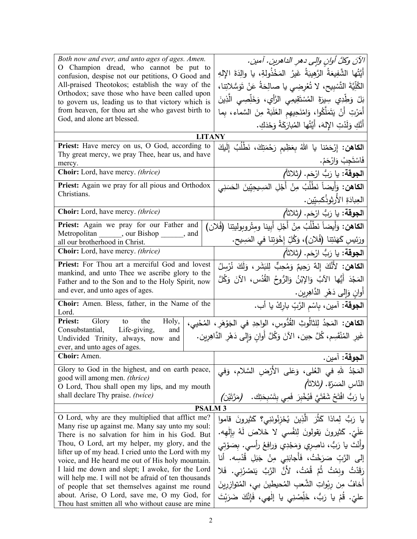| Both now and ever, and unto ages of ages. Amen.<br>O Champion dread, who cannot be put to<br>confusion, despise not our petitions, O Good and<br>All-praised Theotokos; establish the way of the<br>Orthodox; save those who have been called upon<br>to govern us, leading us to that victory which is<br>from heaven, for thou art she who gavest birth to<br>God, and alone art blessed. | الآنَ وكلَّ أوانِ والِي دهرِ الداهرينِ. آمينِ.<br>أَيَّتُها الشَّفِيعَةُ الرَّهِيبَةُ غَيرُ المَخْذُولةِ، يا والِدَةَ الإِلهِ<br>الكُلِّيَّةَ التَّسْبِيحِ، لا تُعْرِضِي يا صالِحَةُ عَنْ تَوَسُّلاتِنا،<br>بَلْ وَطِّدِي سِيرَةَ المُسْتَقِيمِي الرَّأْي، وَخَلِّصِي الَّذِينَ<br>أَمَرْتِ أَنْ يَتَمَلَّكُوا، وَامْنَحِيهِم الغَلَبَةَ مِنَ السَّماء، بِما<br>أَنَّكِ وَلَدْتِ الإِلهَ، أَيَّتُها المُبارَكَةُ وَحْدَكِ. |  |
|---------------------------------------------------------------------------------------------------------------------------------------------------------------------------------------------------------------------------------------------------------------------------------------------------------------------------------------------------------------------------------------------|----------------------------------------------------------------------------------------------------------------------------------------------------------------------------------------------------------------------------------------------------------------------------------------------------------------------------------------------------------------------------------------------------------------------------|--|
| <b>LITANY</b>                                                                                                                                                                                                                                                                                                                                                                               |                                                                                                                                                                                                                                                                                                                                                                                                                            |  |
| Priest: Have mercy on us, O God, according to<br>Thy great mercy, we pray Thee, hear us, and have                                                                                                                                                                                                                                                                                           | ا <b>لكاهن:</b> إِرْحَمْنا يا اللهُ بِعَظِيم رَحْمَتِكَ، نَطْلُبُ إِلَيكَ<br>فَاسْتَجِبْ وَارْحَمْ.                                                                                                                                                                                                                                                                                                                        |  |
| mercy.<br>Choir: Lord, have mercy. (thrice)                                                                                                                                                                                                                                                                                                                                                 | ا <b>لجوقة:</b> يا رَبُّ ارْحَم. (ثلاثاً <i>)</i>                                                                                                                                                                                                                                                                                                                                                                          |  |
| Priest: Again we pray for all pious and Orthodox<br>Christians.                                                                                                                                                                                                                                                                                                                             | ا <b>لكاهن:</b> وَأَيضاً نَطْلُبُ مِنْ أَجْلِ المَسِيحِيِّينَ الحَسَنِي<br>العِبادَةِ الأَرثوذُكسِيّين.                                                                                                                                                                                                                                                                                                                    |  |
| Choir: Lord, have mercy. (thrice)                                                                                                                                                                                                                                                                                                                                                           | ا <b>لجوقة:</b> يا رَبُّ ارْحَم. (ثلاثاً)                                                                                                                                                                                                                                                                                                                                                                                  |  |
| Priest: Again we pray for our Father and                                                                                                                                                                                                                                                                                                                                                    | ا <b>لكاهن:</b> وَأَيضاً نَطْلُبُ مِنْ أَجْلِ أَبينا ومِتْروبوليتِنا (فُلان)                                                                                                                                                                                                                                                                                                                                               |  |
| Metropolitan _______, our Bishop _______, and                                                                                                                                                                                                                                                                                                                                               | ورَئِيسِ كَهَنَتِنا (فُلان)، وَكُلِّ إِخْوَتِنا في المَسِيحِ.                                                                                                                                                                                                                                                                                                                                                              |  |
| all our brotherhood in Christ.<br>Choir: Lord, have mercy. (thrice)                                                                                                                                                                                                                                                                                                                         | ا <b>لجوقة:</b> يا رَبُّ ارْحَم. (ثلاثاً <i>)</i>                                                                                                                                                                                                                                                                                                                                                                          |  |
| Priest: For Thou art a merciful God and lovest<br>mankind, and unto Thee we ascribe glory to the<br>Father and to the Son and to the Holy Spirit, now                                                                                                                                                                                                                                       | ا <b>لكاهن:</b> لأَنَّكَ إِلهٌ رَحِيمٌ وَمُحِبٌّ لِلبَشَر <b>ِ ،</b> وَلَكَ نُرْس <i>لُ</i><br>المَجْدَ أَيُّها الآبُ وَالإِبْنُ وَالرُّوحُ القُدُسِ، الآنَ وَكُلَّ                                                                                                                                                                                                                                                        |  |
| and ever, and unto ages of ages.                                                                                                                                                                                                                                                                                                                                                            | أُوانٍ وَإِلَى دَهْرِ الدَّاهِرِينِ.                                                                                                                                                                                                                                                                                                                                                                                       |  |
| Choir: Amen. Bless, father, in the Name of the<br>Lord.                                                                                                                                                                                                                                                                                                                                     | ا <b>لجوقة</b> : آمين، بِاسْم الرَّبِّ باركْ يا أب.                                                                                                                                                                                                                                                                                                                                                                        |  |
| <b>Priest:</b> Glory to<br>the<br>Holy,<br>Consubstantial, Life-giving,<br>and<br>Undivided Trinity, always, now<br>and<br>ever, and unto ages of ages.                                                                                                                                                                                                                                     | ا <b>لكاهن:</b> المَجدُ لِلثالُوثِ القُدُّوسِ، الواحِدِ في الجَوْهَرِ ، المُحْيي،<br>غَيرِ المُنْقَسِم، كُلَّ حِين، الآنَ وَكُلَّ أَوانٍ وَإِلى دَهْرِ الدَّاهِرِين.                                                                                                                                                                                                                                                       |  |
| Choir: Amen.                                                                                                                                                                                                                                                                                                                                                                                | ا <b>لجوقة:</b> آمين.                                                                                                                                                                                                                                                                                                                                                                                                      |  |
| Glory to God in the highest, and on earth peace,<br>good will among men. (thrice)<br>O Lord, Thou shall open my lips, and my mouth<br>shall declare Thy praise. (twice)                                                                                                                                                                                                                     | المَجْدُ للهِ في العُلي، وَعَلى الأَرْضِ السَّلامِ، وَفي<br>النّاس المَسَرّة. (ثلاثاً)<br>يا رَبُّ افْتَحْ شَفَتَيَّ فَيُخْبِرَ فَمِي بِتَسْبِحَتِك.<br>(مَرَّتَيْن)                                                                                                                                                                                                                                                       |  |
| <b>PSALM3</b>                                                                                                                                                                                                                                                                                                                                                                               |                                                                                                                                                                                                                                                                                                                                                                                                                            |  |
| O Lord, why are they multiplied that afflict me?<br>Many rise up against me. Many say unto my soul:<br>There is no salvation for him in his God. But<br>Thou, O Lord, art my helper, my glory, and the<br>lifter up of my head. I cried unto the Lord with my                                                                                                                               | يا رَبُّ لِماذا كَثُرَ الَّذِينَ يُحْزِنُونَنِى؟ كَثيرونَ قاموا<br>عَلَىّ. كَثيرونَ يَقولونَ لِنَفْسى لا خَلاصَ لَهُ بِالْهه.<br>وأَنْتَ يا رَبُّ، ناصِرِي وَمَجْدِي وَرافِعُ رأسي. بصَوْتي                                                                                                                                                                                                                                |  |
| voice, and He heard me out of His holy mountain.<br>I laid me down and slept; I awoke, for the Lord<br>will help me. I will not be afraid of ten thousands<br>of people that set themselves against me round                                                                                                                                                                                | إِلَى الرَّبِّ صَرَخْتُ، فَأَجابَنِي مِنْ جَبَلِ قُدْسِه. أَنا<br>رَقَدْتُ ونِمْتُ ثُمَّ قُمْتُ، لأَنَّ الرَّبَّ يَنصُرُنِي. فَلا<br>أَخافُ مِن ربْواتِ الشَّعبِ المُحيطينَ بي، المُتوازِرِينَ                                                                                                                                                                                                                             |  |
| about. Arise, O Lord, save me, O my God, for<br>Thou hast smitten all who without cause are mine                                                                                                                                                                                                                                                                                            | عليِّ. قُمْ يا رَبُّ، خَلِّصْنِي يا إلٰهي، فَإِنَّكَ ضَرَبْتَ                                                                                                                                                                                                                                                                                                                                                              |  |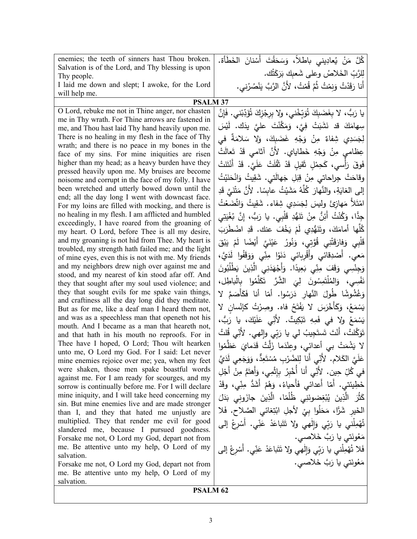| enemies; the teeth of sinners hast Thou broken.                                                           | كُلَّ مَنْ يُعادِيني باطلاً، وَسَحَقْتَ أَسْنانَ الخَطَأة.                   |  |
|-----------------------------------------------------------------------------------------------------------|------------------------------------------------------------------------------|--|
| Salvation is of the Lord, and Thy blessing is upon                                                        | لِلرَّبِّ الخَلاصُ وعلى شَعبك بَرَكَتُك.                                     |  |
| Thy people.<br>I laid me down and slept; I awoke, for the Lord                                            |                                                                              |  |
| will help me.                                                                                             | أَنا رَقَدْتُ وَنِمْتُ ثُمَّ قُمْتُ، لأَنَّ الرَّبَّ يَنْصُرُني.             |  |
| <b>PSALM 37</b>                                                                                           |                                                                              |  |
| O Lord, rebuke me not in Thine anger, nor chasten                                                         | يا رَبُّ، لا بِغَضَبِكَ تُوَبِّخْني، ولا بِرِجْزِكَ تُؤَدِّبْني. فَإِنَّ     |  |
| me in Thy wrath. For Thine arrows are fastened in                                                         | سِهامَكَ قد نَشَبَتْ فِيَّ، وَمَكَّنْتَ عليَّ يدَك. لَيْسَ                   |  |
| me, and Thou hast laid Thy hand heavily upon me.                                                          |                                                                              |  |
| There is no healing in my flesh in the face of Thy<br>wrath; and there is no peace in my bones in the     | لِجَسَدِي شِفاءٌ مِنْ وَجْهِ غَضَبِكَ، وَلا سَلامَةٌ في                      |  |
| face of my sins. For mine iniquities are risen                                                            | عِظامي مِنْ وَجْهِ خَطاياي. لأَنَّ آثامي قَدْ تَعالَتْ                       |  |
| higher than my head; as a heavy burden have they                                                          | فَوقَ رَأْسي، كَحِمْلٍ ثَقيلٍ قَدْ ثَقُلَتْ عَلَيَّ. قَدْ أَنْتَنَتْ         |  |
| pressed heavily upon me. My bruises are become                                                            | وقاحَتْ جِراحاتي مِنْ قِبَلِ جَهالَتي. شَقِيتُ وَانْحَنَيْتُ                 |  |
| noisome and corrupt in the face of my folly. I have<br>been wretched and utterly bowed down until the     | إلى الغايَةِ، والنَّهارَ كُلَّهُ مَشَيْتُ عابسًا. لأَنَّ مَتْنَىَّ قَدِ      |  |
| end; all the day long I went with downcast face.                                                          |                                                                              |  |
| For my loins are filled with mocking, and there is                                                        | امْتَلاً مَهازِئَ ولِيسَ لِجَسَدِي شِفاء. شَقِيتُ وَاتَّضَعْتُ               |  |
| no healing in my flesh. I am afflicted and humbled<br>exceedingly, I have roared from the groaning of     | جِدًّا، وَكُنْتُ أَئِنٌّ مِنْ تَنَهُّدِ قَلْبِي. يا رَبُّ، إِنَّ بُغْيَتِي   |  |
| my heart. O Lord, before Thee is all my desire,                                                           | كُلُّها أمامَكَ، وتَنَهُّدِي لَمْ يَخْفَ عنك. قَدِ اضْطَرَبَ                 |  |
| and my groaning is not hid from Thee. My heart is                                                         | قَلْبِي وَفارَقَتْنِي قُوَّتِي، وَنُورُ  عَيْنَيَّ  أَيْضًا  لَمْ  يَبْقَ    |  |
| troubled, my strength hath failed me; and the light<br>of mine eyes, even this is not with me. My friends | مَعي. أَصْدِقائي وأَقْرِبائي دَنَوْا مِنِّي وَوَقَفُوا لَدَيَّ،              |  |
| and my neighbors drew nigh over against me and                                                            | وَجِنْسِي وَقَفَ مِنِّي بَعِيدًا. وَأَجْهَدَنِي الَّذِينَ يَطْلُبُونَ        |  |
| stood, and my nearest of kin stood afar off. And                                                          |                                                                              |  |
| they that sought after my soul used violence; and                                                         | نَفْسِي، وَالمُلْتَمِسُونَ لِيَ الشَّرَّ تَكَلَّمُوا بِالْباطِل،             |  |
| they that sought evils for me spake vain things,                                                          | وَغُشُوشًا طُولَ النَّهارِ دَرَسُوا. أَمّا أَنا فَكَأْصَمَّ لا               |  |
| and craftiness all the day long did they meditate.<br>But as for me, like a deaf man I heard them not,    | يَسْمَعُ، وَكَأَخْرَسَ لا يَفْتَحُ فاه. وصِرْتُ كإنْسان لا                   |  |
| and was as a speechless man that openeth not his                                                          | يَسْمَعُ ولا في فَمِهِ تَبْكِيتٌ. لأَنِّي عَلَيْكَ، يا رَبُّ،                |  |
| mouth. And I became as a man that heareth not,                                                            | تَوَكَّلتُ، أَنْتَ تَستَجِيبُ لي يا رَبِّي وإِلهي. لأُنِّي قُلتُ             |  |
| and that hath in his mouth no reproofs. For in<br>Thee have I hoped, O Lord; Thou wilt hearken            |                                                                              |  |
| unto me, O Lord my God. For I said: Let never                                                             | لا يَشْمَتْ بِي أعدائي، وعِنْدَما زَلَّتْ قَدَمايَ عَظَّمُوا                 |  |
| mine enemies rejoice over me; yea, when my feet                                                           | عَلَيَّ الكَلامِ. لأَنِّي أَنا لِلضَّرْبِ مُسْتَعِدٌّ، وَوَجَعِي لَدَيَّ     |  |
| were shaken, those men spake boastful words<br>against me. For I am ready for scourges, and my            | في كُلِّ حِين. لأَنِّي أَنا أُخْبِرُ بِإِثْمِي، وَأَهتَمُّ مِنْ أَجْلِ       |  |
| sorrow is continually before me. For I will declare                                                       | خَطِينَتى. أَمّا أَعدائى فَأَحياءُ، وَهُمْ أَشَدُّ مِنِّي، وقَدْ             |  |
| mine iniquity, and I will take heed concerning my                                                         | كَثُرَ   الَّذِينَ  يُبْغِضونَنِي   ظُلْمًا،   الَّذِينَ   جازَونِي   بَدَلَ |  |
| sin. But mine enemies live and are made stronger                                                          | الْخَيْرِ شَرًّا، مَحَلُوا بِيْ لأَجْلِ ابْتِغائي الصَّلاحِ. فَلا            |  |
| than I, and they that hated me unjustly are<br>multiplied. They that render me evil for good              |                                                                              |  |
| slandered me, because I pursued goodness.                                                                 | تُهْمِلْني يا رَبِّي وَإِلْهِي وِلا تَتَباعَدْ عَنِّي. أَسْرِعْ إِلَى        |  |
| Forsake me not, O Lord my God, depart not from                                                            | مَعُونَتي يا رَبَّ خَلاصي.                                                   |  |
| me. Be attentive unto my help, O Lord of my                                                               | فَلا تُهْمِلْني يا رَبِّي وَإِلٰهِي ولا تَتَباعَدْ عَنِّي. أَسْرِعْ إلى      |  |
| salvation.<br>Forsake me not, O Lord my God, depart not from                                              | مَعُونَتي يا رَبَّ خَلاصي.                                                   |  |
| me. Be attentive unto my help, O Lord of my                                                               |                                                                              |  |
| salvation.                                                                                                |                                                                              |  |
| <b>PCALM 62</b>                                                                                           |                                                                              |  |

**PSALM 62**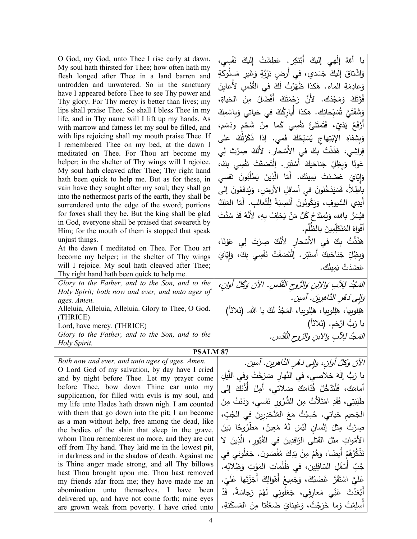| O God, my God, unto Thee I rise early at dawn.<br>My soul hath thirsted for Thee; how often hath my<br>flesh longed after Thee in a land barren and<br>untrodden and unwatered. So in the sanctuary<br>have I appeared before Thee to see Thy power and<br>Thy glory. For Thy mercy is better than lives; my<br>lips shall praise Thee. So shall I bless Thee in my<br>life, and in Thy name will I lift up my hands. As<br>with marrow and fatness let my soul be filled, and<br>with lips rejoicing shall my mouth praise Thee. If<br>I remembered Thee on my bed, at the dawn I<br>meditated on Thee. For Thou art become my<br>helper; in the shelter of Thy wings will I rejoice.<br>My soul hath cleaved after Thee; Thy right hand<br>hath been quick to help me. But as for these, in<br>vain have they sought after my soul; they shall go<br>into the nethermost parts of the earth, they shall be<br>surrendered unto the edge of the sword; portions<br>for foxes shall they be. But the king shall be glad<br>in God, everyone shall be praised that sweareth by<br>Him; for the mouth of them is stopped that speak<br>unjust things.<br>At the dawn I meditated on Thee. For Thou art<br>become my helper; in the shelter of Thy wings<br>will I rejoice. My soul hath cleaved after Thee; | يا أللهُ إلْهي إليكَ أَبْتَكِرٍ. عَطِشَتْ إِلَيكَ نَفْسِي،<br>وَاشْتاقَ إِلَيكَ جَسَدي، في أَرضِ بَرِّيَّةٍ وَغَيرِ مَسلُوكَةٍ<br>وَعادِمَةِ الماء. هٰكذا ظَهَرْتُ لَكَ في القُدْسِ لأَعايِنَ<br>قُوَّتَكَ وَمَجْدَك. لأَنَّ رَحْمَتَكَ أَفْضَلُ مِنَ الْحَياةِ،<br>وَشَفَتَىَّ شُبَحانِك. هٰكذا أَباركُكَ في حَياتي وَبِاسْمِكَ<br>أَرْفَعُ يَدَيِّ، فَتَمتَلَّئُ نَفْسِي كَما مِنْ شَحْمٍ ودَسَمٍ،<br>وَبِشِفاهِ الإِبْتِهاجِ يُسَبِّحُكَ فَمي. إذا ذَكَرْتُكَ على<br>فِراشِي، هَذَذْتُ بِكَ في الأَسْحارِ ، لأَنَّكَ صِرْتَ لِي<br>عَونًا وَبِظِلِّ جَناحَيكَ أَسْتَتِرٍ . إِنَّتَصَقَتْ نَفْسِي بِكَ،<br>وَإِيّايَ عَضَدَتْ يَمِينُك. أَمّا الَّذِينَ يَطْلُبُونَ نَفسى<br>باطِلاً، فَسَيَدْخُلونَ في أسافِلِ الأرض، وَيُدفَعُونَ إلى<br>أَيدِى السُّيوفِ، وَبَكُونُونَ أَنْصِبَةً لِلْثَعالبِ. أَمّا المَلِكُ<br>فيُسَرُّ بالله، وَيُمتَدَحُ كُلُّ مَنْ يَحْلِفُ بِهِ، لأَنَّهُ قَدْ سُدَّتْ<br>أَفْواهُ المُتَكَلِّمِينَ بِالظُّلْمِ.<br>هَذَنْتُ بِكَ في الأَسْحارِ لأَنَّكَ صِرْتَ لِي عَوْنًا،<br>وَبِظِلِّ جَناحَيكَ أَستَتِرٍ . إِلْتَصَقَتْ نَفْسِي بِكَ، وَإِيّايَ<br>عَضَدَتْ يَمِيثُك. |
|-----------------------------------------------------------------------------------------------------------------------------------------------------------------------------------------------------------------------------------------------------------------------------------------------------------------------------------------------------------------------------------------------------------------------------------------------------------------------------------------------------------------------------------------------------------------------------------------------------------------------------------------------------------------------------------------------------------------------------------------------------------------------------------------------------------------------------------------------------------------------------------------------------------------------------------------------------------------------------------------------------------------------------------------------------------------------------------------------------------------------------------------------------------------------------------------------------------------------------------------------------------------------------------------------------------|-------------------------------------------------------------------------------------------------------------------------------------------------------------------------------------------------------------------------------------------------------------------------------------------------------------------------------------------------------------------------------------------------------------------------------------------------------------------------------------------------------------------------------------------------------------------------------------------------------------------------------------------------------------------------------------------------------------------------------------------------------------------------------------------------------------------------------------------------------------------------------------------------------------------------------------------------------------------------------------------------------------------------------------------------------------------------------------------------------|
| Thy right hand hath been quick to help me.                                                                                                                                                                                                                                                                                                                                                                                                                                                                                                                                                                                                                                                                                                                                                                                                                                                                                                                                                                                                                                                                                                                                                                                                                                                                |                                                                                                                                                                                                                                                                                                                                                                                                                                                                                                                                                                                                                                                                                                                                                                                                                                                                                                                                                                                                                                                                                                       |
| Glory to the Father, and to the Son, and to the<br>Holy Spirit; both now and ever, and unto ages of                                                                                                                                                                                                                                                                                                                                                                                                                                                                                                                                                                                                                                                                                                                                                                                                                                                                                                                                                                                                                                                                                                                                                                                                       | المَجْدُ للِأَبِ وَالِأَبِنِ وَالرُّوحِ الْقُدْسِ. الآنَ وَكُلَّ أُوان،                                                                                                                                                                                                                                                                                                                                                                                                                                                                                                                                                                                                                                                                                                                                                                                                                                                                                                                                                                                                                               |
| ages. Amen.                                                                                                                                                                                                                                                                                                                                                                                                                                                                                                                                                                                                                                                                                                                                                                                                                                                                                                                                                                                                                                                                                                                                                                                                                                                                                               | وَالِي دَهْرِ الذَّاهِرِينَ. آمين.                                                                                                                                                                                                                                                                                                                                                                                                                                                                                                                                                                                                                                                                                                                                                                                                                                                                                                                                                                                                                                                                    |
| Alleluia, Alleluia, Alleluia. Glory to Thee, O God.<br>(THRICE)                                                                                                                                                                                                                                                                                                                                                                                                                                                                                                                                                                                                                                                                                                                                                                                                                                                                                                                                                                                                                                                                                                                                                                                                                                           | هَلِلوبِيا، هَلِلوبِيا، هَلِلوبِيا، المَجْدُ لَكَ يا الله. (ثلاثاً)                                                                                                                                                                                                                                                                                                                                                                                                                                                                                                                                                                                                                                                                                                                                                                                                                                                                                                                                                                                                                                   |
| Lord, have mercy. (THRICE)                                                                                                                                                                                                                                                                                                                                                                                                                                                                                                                                                                                                                                                                                                                                                                                                                                                                                                                                                                                                                                                                                                                                                                                                                                                                                | يا رَبُّ ارْحَم. (ثلاثاً)                                                                                                                                                                                                                                                                                                                                                                                                                                                                                                                                                                                                                                                                                                                                                                                                                                                                                                                                                                                                                                                                             |
| Glory to the Father, and to the Son, and to the<br>Holy Spirit.                                                                                                                                                                                                                                                                                                                                                                                                                                                                                                                                                                                                                                                                                                                                                                                                                                                                                                                                                                                                                                                                                                                                                                                                                                           | المَعجُد للِأَبِ والابنِ والرّوحِ القُدُسِ.                                                                                                                                                                                                                                                                                                                                                                                                                                                                                                                                                                                                                                                                                                                                                                                                                                                                                                                                                                                                                                                           |
| <b>PSALM 87</b>                                                                                                                                                                                                                                                                                                                                                                                                                                                                                                                                                                                                                                                                                                                                                                                                                                                                                                                                                                                                                                                                                                                                                                                                                                                                                           |                                                                                                                                                                                                                                                                                                                                                                                                                                                                                                                                                                                                                                                                                                                                                                                                                                                                                                                                                                                                                                                                                                       |
| Both now and ever, and unto ages of ages. Amen.                                                                                                                                                                                                                                                                                                                                                                                                                                                                                                                                                                                                                                                                                                                                                                                                                                                                                                                                                                                                                                                                                                                                                                                                                                                           | الآنَ وكلَّ أوانِ، وإلى دَهْرِ الذَّاهرينِ. آمين.                                                                                                                                                                                                                                                                                                                                                                                                                                                                                                                                                                                                                                                                                                                                                                                                                                                                                                                                                                                                                                                     |
| O Lord God of my salvation, by day have I cried<br>and by night before Thee. Let my prayer come                                                                                                                                                                                                                                                                                                                                                                                                                                                                                                                                                                                                                                                                                                                                                                                                                                                                                                                                                                                                                                                                                                                                                                                                           | يا رَبُّ إلٰهَ خلاصي، في النَّهارِ صَرَخْتُ وفي اللَّيلِ                                                                                                                                                                                                                                                                                                                                                                                                                                                                                                                                                                                                                                                                                                                                                                                                                                                                                                                                                                                                                                              |
| before Thee, bow down Thine ear unto my                                                                                                                                                                                                                                                                                                                                                                                                                                                                                                                                                                                                                                                                                                                                                                                                                                                                                                                                                                                                                                                                                                                                                                                                                                                                   | أَمامَكَ، فَلْتَدْخُلْ قُدّامَكَ صَلاتي، أَمِلْ أَذُنَكَ إلى                                                                                                                                                                                                                                                                                                                                                                                                                                                                                                                                                                                                                                                                                                                                                                                                                                                                                                                                                                                                                                          |
| supplication, for filled with evils is my soul, and                                                                                                                                                                                                                                                                                                                                                                                                                                                                                                                                                                                                                                                                                                                                                                                                                                                                                                                                                                                                                                                                                                                                                                                                                                                       | طَٰلِبَتِی، فَقَدِ امْتَلَأَتْ مِنَ الشَّرُورِ نَفسی، وَدَنَتْ مِنَ                                                                                                                                                                                                                                                                                                                                                                                                                                                                                                                                                                                                                                                                                                                                                                                                                                                                                                                                                                                                                                   |
| my life unto Hades hath drawn nigh. I am counted<br>with them that go down into the pit; I am become                                                                                                                                                                                                                                                                                                                                                                                                                                                                                                                                                                                                                                                                                                                                                                                                                                                                                                                                                                                                                                                                                                                                                                                                      |                                                                                                                                                                                                                                                                                                                                                                                                                                                                                                                                                                                                                                                                                                                                                                                                                                                                                                                                                                                                                                                                                                       |
| as a man without help, free among the dead, like                                                                                                                                                                                                                                                                                                                                                                                                                                                                                                                                                                                                                                                                                                                                                                                                                                                                                                                                                                                                                                                                                                                                                                                                                                                          | الْجَحيمِ حَياتي. حُسِبْتُ مَعَ الْمُنْحَدِرِينَ في الْجُبِّ،                                                                                                                                                                                                                                                                                                                                                                                                                                                                                                                                                                                                                                                                                                                                                                                                                                                                                                                                                                                                                                         |
| the bodies of the slain that sleep in the grave,                                                                                                                                                                                                                                                                                                                                                                                                                                                                                                                                                                                                                                                                                                                                                                                                                                                                                                                                                                                                                                                                                                                                                                                                                                                          | صِرْتُ مِثْلَ إِنْسانٍ لَيْسَ لَهُ مُعِينٌ، مَطْرُوحًا بَينَ                                                                                                                                                                                                                                                                                                                                                                                                                                                                                                                                                                                                                                                                                                                                                                                                                                                                                                                                                                                                                                          |
| whom Thou rememberest no more, and they are cut                                                                                                                                                                                                                                                                                                                                                                                                                                                                                                                                                                                                                                                                                                                                                                                                                                                                                                                                                                                                                                                                                                                                                                                                                                                           | الأَمْواتِ مثلَ القَتلى الرّاقدِينَ في القُبُورِ ، الَّذِينَ لا                                                                                                                                                                                                                                                                                                                                                                                                                                                                                                                                                                                                                                                                                                                                                                                                                                                                                                                                                                                                                                       |
| off from Thy hand. They laid me in the lowest pit,<br>in darkness and in the shadow of death. Against me                                                                                                                                                                                                                                                                                                                                                                                                                                                                                                                                                                                                                                                                                                                                                                                                                                                                                                                                                                                                                                                                                                                                                                                                  | تَذْكُرُهُمْ أَيضًا، وَهُمْ مِنْ يَدِكَ مُقْصَون. جَعَلُوني في                                                                                                                                                                                                                                                                                                                                                                                                                                                                                                                                                                                                                                                                                                                                                                                                                                                                                                                                                                                                                                        |
| is Thine anger made strong, and all Thy billows                                                                                                                                                                                                                                                                                                                                                                                                                                                                                                                                                                                                                                                                                                                                                                                                                                                                                                                                                                                                                                                                                                                                                                                                                                                           | جُبِّ أَسْفَلِ السّافِلِين، في ظُلُماتِ المَوْتِ وَظِلالِه.                                                                                                                                                                                                                                                                                                                                                                                                                                                                                                                                                                                                                                                                                                                                                                                                                                                                                                                                                                                                                                           |
| hast Thou brought upon me. Thou hast removed                                                                                                                                                                                                                                                                                                                                                                                                                                                                                                                                                                                                                                                                                                                                                                                                                                                                                                                                                                                                                                                                                                                                                                                                                                                              | عَلَيَّ اسْتَقَرَّ غَضَبُكَ، وَجَمِيعُ أَهْوالِكَ أَجَزْتَها عَلَىّ.                                                                                                                                                                                                                                                                                                                                                                                                                                                                                                                                                                                                                                                                                                                                                                                                                                                                                                                                                                                                                                  |
| my friends afar from me; they have made me an<br>abomination unto themselves. I have been                                                                                                                                                                                                                                                                                                                                                                                                                                                                                                                                                                                                                                                                                                                                                                                                                                                                                                                                                                                                                                                                                                                                                                                                                 | أَبْعَدْتَ عَنِّي مَعارِفي، جَعَلُوني لَهُمْ رَجاسَةً. قَدْ                                                                                                                                                                                                                                                                                                                                                                                                                                                                                                                                                                                                                                                                                                                                                                                                                                                                                                                                                                                                                                           |
| delivered up, and have not come forth; mine eyes<br>are grown weak from poverty. I have cried unto                                                                                                                                                                                                                                                                                                                                                                                                                                                                                                                                                                                                                                                                                                                                                                                                                                                                                                                                                                                                                                                                                                                                                                                                        | أَسلِمْتُ وَما خَرَجْتُ، وَعَيناىَ ضَعُفَتا مِنَ المَسكَنةِ.                                                                                                                                                                                                                                                                                                                                                                                                                                                                                                                                                                                                                                                                                                                                                                                                                                                                                                                                                                                                                                          |
|                                                                                                                                                                                                                                                                                                                                                                                                                                                                                                                                                                                                                                                                                                                                                                                                                                                                                                                                                                                                                                                                                                                                                                                                                                                                                                           |                                                                                                                                                                                                                                                                                                                                                                                                                                                                                                                                                                                                                                                                                                                                                                                                                                                                                                                                                                                                                                                                                                       |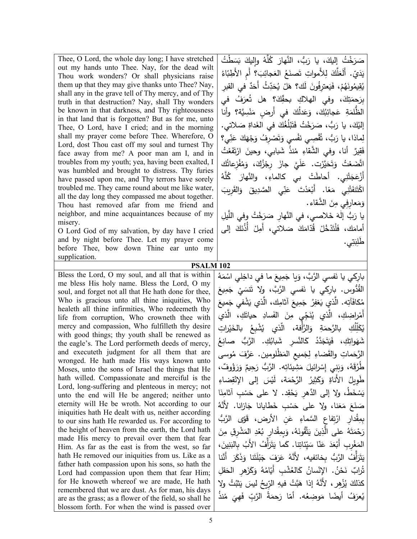Thee, O Lord, the whole day long; I have stretched out my hands unto Thee. Nay, for the dead wilt Thou work wonders? Or shall physicians raise them up that they may give thanks unto Thee? Nay, shall any in the grave tell of Thy mercy, and of Thy truth in that destruction? Nay, shall Thy wonders be known in that darkness, and Thy righteousness in that land that is forgotten? But as for me, unto Thee, O Lord, have I cried; and in the morning shall my prayer come before Thee. Wherefore, O Lord, dost Thou cast off my soul and turnest Thy face away from me? A poor man am I, and in troubles from my youth; yea, having been exalted, I was humbled and brought to distress. Thy furies have passed upon me, and Thy terrors have sorely troubled me. They came round about me like water, all the day long they compassed me about together. Thou hast removed afar from me friend and neighbor, and mine acquaintances because of my misery.

O Lord God of my salvation, by day have I cried and by night before Thee. Let my prayer come before Thee, bow down Thine ear unto my supplication.

Bless the Lord, O my soul, and all that is within me bless His holy name. Bless the Lord, O my soul, and forget not all that He hath done for thee, Who is gracious unto all thine iniquities, Who healeth all thine infirmities, Who redeemeth thy life from corruption, Who crowneth thee with mercy and compassion, Who fulfilleth thy desire with good things; thy youth shall be renewed as the eagle's. The Lord performeth deeds of mercy, and executeth judgment for all them that are wronged. He hath made His ways known unto Moses, unto the sons of Israel the things that He hath willed. Compassionate and merciful is the Lord, long-suffering and plenteous in mercy; not unto the end will He be angered; neither unto eternity will He be wroth. Not according to our iniquities hath He dealt with us, neither according to our sins hath He rewarded us. For according to the height of heaven from the earth, the Lord hath made His mercy to prevail over them that fear Him. As far as the east is from the west, so far hath He removed our iniquities from us. Like as a father hath compassion upon his sons, so hath the Lord had compassion upon them that fear Him; for He knoweth whereof we are made, He hath remembered that we are dust. As for man, his days are as the grass; as a flower of the field, so shall he blossom forth. For when the wind is passed over

صَرَخْتُ إِليكَ، يا رَبُّ، النَّهارَ كُلَّهُ وإِليكَ بَسَطْتُ<br>- يَسَعَّ يَدَيّ. أَلَعَلَّكَ لِلأَمواتِ تَصنَعُ العَجائِبَ؟ أَمِ الأَطِبّاءُ<br>. يُقِيمُونَهُمْ، فَيَعترِفُونَ لَك؟ هَلْ يُحَدِّثُ أَحَدٌ في القبرِ َ ُف في ُعر َ؟ هل ت ِك ّ َ ِ ، وفي الهلاك �حق ِك ت َ َحم ِبر الظُّلمَةِ عَجائِبُكَ، وَعَدلُكَ في أَرضٍ مَنْسِيَّة؟ وأنا ْ إليْكَ، يا رَبُّ، صَرَخْتُ فَتَبْلُغُكَ في الغَداةِ صَلاتي.<br>. **ٔ** لِماذا، يا رَبُّ، تُقْصِي نَفْسي وَتَصْرِفُ وَجْهَكَ عَنِّي؟<br>ِ فَقِيرٌ أنا، وفي الشَّقاءِ مُنذُ شَبابي، وحينَ ارْتَفَعْتُ .<br>أ اتَّصَعْتُ وَتَحَيَّرْتِ. عَلَيَّ جازَ رِجْزُكَ، وَمُفْزِعاتُك<br>تَصْعَبُ الصَّامِعِينَ ׅׅ֡֡֡֡֡֡֡֡֡֡֡֡֝֬<u>֚</u> أَزْعَجَتْنِي. أحاطَتْ بي كالماءِ، والنَّهارَ كُلَّهُ َّه ُل اكْتَفَتْنِي مَعًا. أَبْعَدْتَ عَنِّي الصَّدِيقَ وَالقَرِيبَ ْ وَمَعارِفِي مِنَ الشَّقاء.<br>ـ يا رَبُّ إِلٰهَ خَلاصي، في النَّهارِ صَرَخْتُ وفي اللَّيلِ<br>، أمامَك، فَلْتَدْخُلْ قُدّامَكَ صَلاتي، أَمِلْ أَذُنَكَ إلى َ ِب ِ َط ي. ل ت

**PSALM 102**

بارِكي يا نَفسي الرَّبَّ، وَيا جَمِيعَ ما في داخِلي اسْمَهُ<br>مُمَّ القُدُّوس. بارِكي يا نَفسي الرَّبَّ، ولا تَنسَيْ جَمِيعَ<br>معانة مُكافَآتِه. الَّذي يَغفِرُ جَمِيعَ آثامِكِ، الَّذي يَشْفي جَمِيعَ<br>ءَ أَمْرِاضِكِ، الَّذي يُنَجِّيٍ مِنَ الفَسادِ حياتَكِ، الَّذ*ي*<br>م يُكَلِّلُكِ بالرَّحمَةِ وَالرَّأْفة، الَّذي يُشْبِعُ بالخَيْراتِ<br>. شَهَواتِكِ، فَيَتَجَدَّدُ كَالنَّسرِ شَبابُكِ. الرَّبُ صانِعُ الرَّحَماتِ والقَضاءِ لِجَميعِ المَظْلومين. عَرَّفَ مُوسى<br>ا َحِيمٌ وَرَؤُوفٌ،<br>. طُرُقَهُ، وَبَنِي إِسْرِائيلَ مَشِيئاتِه. الرَّبُّ رَد طَوِيلُ الأَناةِ وَكَثِيرُ الرَّحْمَة، لَيْسَ إلى الإِنْقِضاءِ يَسْخَطُ، ولا إلى الدَّهرِ يَحْقِد. لا على حَسْبِ أثامِنَا صَنَعَ مَعَنا، ولا على حَسْبِ خَطايانا جَازانا. لأَنَّهُ<br>. بِمِقْدارِ ارْتِفاعٍ السَّماءِ عَنِ الأرض، قَوِّى الرَّبُّ<br>-.<br>أ رَحْمَتَهُ على الَّذِينَ يَتَّقُونَهُ، وَبِمِقْدارِ بُعْدِ المَشْرِقِ مِنَ<br>وَحَمَّتَهُ عَلَى الَّذِينَ يَتَّقُونَهُ، وَبِمِقْدارِ بُعْدِ المَشْرِقِ مِنَ المَغْرِبِ أَبْعَدَ عَنّا سَيِّئاتِنا. كَما يَتَرَأَّفُ الأَبُ بِالْبَنِينَ،<br>مَنَّ يَسْمَدُ عَنّا سَيِّئاتِنا. ِيَتَرَأَّفُ الرَّبُّ بِخائفيه، لأَنَّهُ عَرَفَ جَبْلَتَنا وَذَكَرَ أَنَّنا<br>. <u>:</u> َ ِقل َ ِهر الح َز �َ ُ و ه ُ ّام ُ ْش ِب أَ� َالع � ُ ْسان ُ . الإن ْن َح ٌ ن ُراب ت كذلكَ يُزْهِر، لأَنَّهُ إذا هَبَّتْ فيهِ الرِّيحُ ليسَ يَثْبُتُ ولاِ يُعرَفُ أيضًا مَوضِعُه. أمّا رَحمَةُ الرَّبِّ فَهِيَ مُنذُ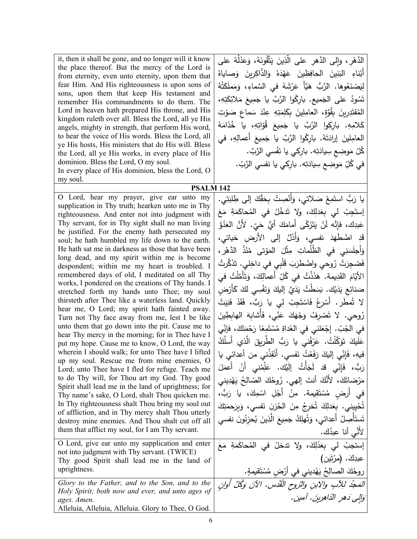| it, then it shall be gone, and no longer will it know<br>the place thereof. But the mercy of the Lord is<br>from eternity, even unto eternity, upon them that<br>fear Him. And His righteousness is upon sons of<br>sons, upon them that keep His testament and<br>remember His commandments to do them. The<br>Lord in heaven hath prepared His throne, and His<br>kingdom ruleth over all. Bless the Lord, all ye His<br>angels, mighty in strength, that perform His word,<br>to hear the voice of His words. Bless the Lord, all<br>ye His hosts, His ministers that do His will. Bless<br>the Lord, all ye His works, in every place of His<br>dominion. Bless the Lord, O my soul.<br>In every place of His dominion, bless the Lord, O<br>my soul. | الدَّهْرِ ، وإلى الدَّهرِ على الَّذِينَ يَتَّقُونَهُ، وَعَدْلُهُ على<br>أَبْناءِ البَنِينَ الحافِظِينَ عَهْدَهُ وَالذَّاكِرِينَ وَصاياهُ<br>لِيَصْنَعُوها. الرَّبُّ هَيَّأٌ عَرْشَهُ في السَّماءِ، وَمَملَكَتُهُ<br>تَسُودُ على الجَميع. باركُوا الرَّبَّ يا جَمِيعَ مَلائِكَتِهِ،<br>المُقتَدِرِينَ بِقُوَّةٍ، العامِلِينَ بِكَلِمَتِهِ عِنْدَ سَماعٍ صَوْتِ<br>كَلامِهِ. باركوا الرَّبَّ يا جَمِيعَ قُوَّاتِهِ، يا خُدَّامَهُ<br>العامِلينَ إرادَتَهُ. باركُوا الرَّبَّ يا جَمِيعَ أعمالِهِ، في<br>كُلّ مَوضِعٍ سِيادَتِه. بارِكي يا نَفْسي الرَّبَّ.<br>في كُلِّ مَوضِعٍ سِيادَتِه. بارِكي يا نفسي الرَّبّ. |
|-----------------------------------------------------------------------------------------------------------------------------------------------------------------------------------------------------------------------------------------------------------------------------------------------------------------------------------------------------------------------------------------------------------------------------------------------------------------------------------------------------------------------------------------------------------------------------------------------------------------------------------------------------------------------------------------------------------------------------------------------------------|----------------------------------------------------------------------------------------------------------------------------------------------------------------------------------------------------------------------------------------------------------------------------------------------------------------------------------------------------------------------------------------------------------------------------------------------------------------------------------------------------------------------------------------------------------------------------------------------------------------|
| <b>PSALM 142</b><br>O Lord, hear my prayer, give ear unto my                                                                                                                                                                                                                                                                                                                                                                                                                                                                                                                                                                                                                                                                                              |                                                                                                                                                                                                                                                                                                                                                                                                                                                                                                                                                                                                                |
| supplication in Thy truth; hearken unto me in Thy                                                                                                                                                                                                                                                                                                                                                                                                                                                                                                                                                                                                                                                                                                         | يا رَبُّ استَمِعْ صَلاتي، وَأَنْصِتْ بِحَقِّكَ إلى طِلبَتِي.                                                                                                                                                                                                                                                                                                                                                                                                                                                                                                                                                   |
| righteousness. And enter not into judgment with                                                                                                                                                                                                                                                                                                                                                                                                                                                                                                                                                                                                                                                                                                           | إِستَجِبْ لي بِعَدلِكَ، ولا تَدخُلْ في المُحاكَمَةِ مَعَ                                                                                                                                                                                                                                                                                                                                                                                                                                                                                                                                                       |
| Thy servant, for in Thy sight shall no man living                                                                                                                                                                                                                                                                                                                                                                                                                                                                                                                                                                                                                                                                                                         | عَبدِك، فإِنَّه لَنْ يَتَزَكَّى أَمامَكَ أَيُّ حَيّ. لأَنَّ العَدُوَّ                                                                                                                                                                                                                                                                                                                                                                                                                                                                                                                                          |
| be justified. For the enemy hath persecuted my<br>soul; he hath humbled my life down to the earth.                                                                                                                                                                                                                                                                                                                                                                                                                                                                                                                                                                                                                                                        | قَدِ اضْطَهَدَ نفسي، وَأَذَلَّ إِلَى الأَرضِ حَياتي،                                                                                                                                                                                                                                                                                                                                                                                                                                                                                                                                                           |
| He hath sat me in darkness as those that have been                                                                                                                                                                                                                                                                                                                                                                                                                                                                                                                                                                                                                                                                                                        | وَأَجلَسَنِي في الظُلُماتِ مِثْلَ المَوْتي مُنْذُ الدَّهْرِ ،                                                                                                                                                                                                                                                                                                                                                                                                                                                                                                                                                  |
| long dead, and my spirit within me is become                                                                                                                                                                                                                                                                                                                                                                                                                                                                                                                                                                                                                                                                                                              |                                                                                                                                                                                                                                                                                                                                                                                                                                                                                                                                                                                                                |
| despondent; within me my heart is troubled. I                                                                                                                                                                                                                                                                                                                                                                                                                                                                                                                                                                                                                                                                                                             | فَضَجِرَتْ رُوحي واضْطرَبَ قَلْبِي في داخِلي. تَذَكَّرتُ                                                                                                                                                                                                                                                                                                                                                                                                                                                                                                                                                       |
| remembered days of old, I meditated on all Thy<br>works, I pondered on the creations of Thy hands. I                                                                                                                                                                                                                                                                                                                                                                                                                                                                                                                                                                                                                                                      | الأَيّامَ القَدِيمة. هَذَذْتُ في كُلِّ أعمالِكَ، وَتَأَمَّلْتُ في                                                                                                                                                                                                                                                                                                                                                                                                                                                                                                                                              |
| stretched forth my hands unto Thee; my soul                                                                                                                                                                                                                                                                                                                                                                                                                                                                                                                                                                                                                                                                                                               | صَنائِعِ يَدَيْك. بَسَطْتُ يَدَيَّ إِليكَ وَنَفْسِي لَكَ كَأَرْضِ                                                                                                                                                                                                                                                                                                                                                                                                                                                                                                                                              |
| thirsteth after Thee like a waterless land. Quickly                                                                                                                                                                                                                                                                                                                                                                                                                                                                                                                                                                                                                                                                                                       | لا شُطِّر. أَسْرِعْ فَاسْتَجِبْ لِي يا رَبُّ، فَقَدْ فَنِيَتْ                                                                                                                                                                                                                                                                                                                                                                                                                                                                                                                                                  |
| hear me, O Lord; my spirit hath fainted away.<br>Turn not Thy face away from me, lest I be like                                                                                                                                                                                                                                                                                                                                                                                                                                                                                                                                                                                                                                                           | رُوحي. لا تَصْرِفْ وَجْهَكَ عَنِّي، فَأَشابِهَ الهابِطِينَ                                                                                                                                                                                                                                                                                                                                                                                                                                                                                                                                                     |
| unto them that go down into the pit. Cause me to                                                                                                                                                                                                                                                                                                                                                                                                                                                                                                                                                                                                                                                                                                          | في الجُبِّ. إِجْعَلني في الغَداةِ مُسْتَمِعًا رَحْمَتَكَ، فإنِّي                                                                                                                                                                                                                                                                                                                                                                                                                                                                                                                                               |
| hear Thy mercy in the morning; for in Thee have I                                                                                                                                                                                                                                                                                                                                                                                                                                                                                                                                                                                                                                                                                                         | عَلَيكَ تَوَكَّلْتُ. عَرّفْنى يا رَبُّ الطّريقَ الّذي أَسلُكُ                                                                                                                                                                                                                                                                                                                                                                                                                                                                                                                                                  |
| put my hope. Cause me to know, O Lord, the way<br>wherein I should walk; for unto Thee have I lifted                                                                                                                                                                                                                                                                                                                                                                                                                                                                                                                                                                                                                                                      |                                                                                                                                                                                                                                                                                                                                                                                                                                                                                                                                                                                                                |
| up my soul. Rescue me from mine enemies, O                                                                                                                                                                                                                                                                                                                                                                                                                                                                                                                                                                                                                                                                                                                | فيهِ، فَإِنِّي إليكَ رَفَعْتُ نَفسي. أَنْقِذْني من أعدائي يا                                                                                                                                                                                                                                                                                                                                                                                                                                                                                                                                                   |
| Lord; unto Thee have I fled for refuge. Teach me                                                                                                                                                                                                                                                                                                                                                                                                                                                                                                                                                                                                                                                                                                          | رَبُّ، فَإِنِّي قد لَجَأْتُ إِلَيْك. عَلِّمْني أَنْ أَعمَلَ                                                                                                                                                                                                                                                                                                                                                                                                                                                                                                                                                    |
| to do Thy will, for Thou art my God. Thy good<br>Spirit shall lead me in the land of uprightness; for                                                                                                                                                                                                                                                                                                                                                                                                                                                                                                                                                                                                                                                     | مَرْضاتَكَ، لأَنَّكَ أَنتَ إلهي. رُوحُكَ الصّالِحُ يَهْدِيني                                                                                                                                                                                                                                                                                                                                                                                                                                                                                                                                                   |
| Thy name's sake, O Lord, shalt Thou quicken me.                                                                                                                                                                                                                                                                                                                                                                                                                                                                                                                                                                                                                                                                                                           | في أرض مُسْتَقِيمة. مِنْ أَجْلِ اسْمِكَ، يا رَبُّ،                                                                                                                                                                                                                                                                                                                                                                                                                                                                                                                                                             |
| In Thy righteousness shalt Thou bring my soul out                                                                                                                                                                                                                                                                                                                                                                                                                                                                                                                                                                                                                                                                                                         | تُحْيِيني. بِعَدلِكَ تُخرِجُ مِنَ الْحُزنِ نَفسى، وَبِرَحمَتِكَ                                                                                                                                                                                                                                                                                                                                                                                                                                                                                                                                                |
| of affliction, and in Thy mercy shalt Thou utterly<br>destroy mine enemies. And Thou shalt cut off all                                                                                                                                                                                                                                                                                                                                                                                                                                                                                                                                                                                                                                                    | تَستَأْصِلُ أعدائي، وَتُهلِكُ جَمِيعَ الَّذِينَ يُحزِنُونَ نفسي                                                                                                                                                                                                                                                                                                                                                                                                                                                                                                                                                |
| them that afflict my soul, for I am Thy servant.                                                                                                                                                                                                                                                                                                                                                                                                                                                                                                                                                                                                                                                                                                          | لأنَّى أنا عبدُك.                                                                                                                                                                                                                                                                                                                                                                                                                                                                                                                                                                                              |
| O Lord, give ear unto my supplication and enter                                                                                                                                                                                                                                                                                                                                                                                                                                                                                                                                                                                                                                                                                                           |                                                                                                                                                                                                                                                                                                                                                                                                                                                                                                                                                                                                                |
| not into judgment with Thy servant. (TWICE)                                                                                                                                                                                                                                                                                                                                                                                                                                                                                                                                                                                                                                                                                                               | إستجبْ لي بِعَدْلِكَ، ولا تدخلْ في المُحاكَمَةِ مَعَ                                                                                                                                                                                                                                                                                                                                                                                                                                                                                                                                                           |
| Thy good Spirit shall lead me in the land of                                                                                                                                                                                                                                                                                                                                                                                                                                                                                                                                                                                                                                                                                                              | عبدِكَ. (مرّتَين)                                                                                                                                                                                                                                                                                                                                                                                                                                                                                                                                                                                              |
| uprightness.                                                                                                                                                                                                                                                                                                                                                                                                                                                                                                                                                                                                                                                                                                                                              |                                                                                                                                                                                                                                                                                                                                                                                                                                                                                                                                                                                                                |
| Glory to the Father, and to the Son, and to the                                                                                                                                                                                                                                                                                                                                                                                                                                                                                                                                                                                                                                                                                                           | روحُكَ الصالِحُ يَهْديني في أرْضٍ مُسْتَقيمةٍ.<br><i>المَجُد للِأبِ والابنِ والزوحِ القُدُس. الآنَ وَكُلَّ أَوانٍ</i>                                                                                                                                                                                                                                                                                                                                                                                                                                                                                          |
| Holy Spirit; both now and ever, and unto ages of<br>ages. Amen.                                                                                                                                                                                                                                                                                                                                                                                                                                                                                                                                                                                                                                                                                           | وَالِي دَهر الدّاهِرِينَ. آمين.                                                                                                                                                                                                                                                                                                                                                                                                                                                                                                                                                                                |
| Alleluia, Alleluia, Alleluia. Glory to Thee, O God.                                                                                                                                                                                                                                                                                                                                                                                                                                                                                                                                                                                                                                                                                                       |                                                                                                                                                                                                                                                                                                                                                                                                                                                                                                                                                                                                                |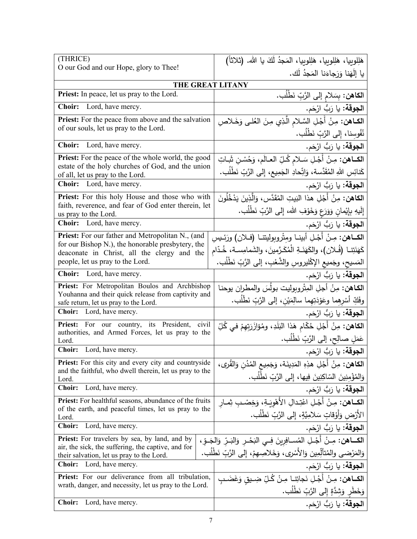| (THRICE)                                                                                                               | هَلِلوبِيا، هَلِلوبِيا، هَلِلوبِيا، المَجدُ لَكَ يا الله. (ثلاثاً)                   |
|------------------------------------------------------------------------------------------------------------------------|--------------------------------------------------------------------------------------|
| O our God and our Hope, glory to Thee!                                                                                 | يا إِلَهَنا وَرَجاءَنا المَجدُ لَك.                                                  |
| THE GREAT LITANY                                                                                                       |                                                                                      |
| Priest: In peace, let us pray to the Lord.                                                                             | ا <b>لكاهن:</b> بِسَلام إلى الرَّبِّ نَطْلُب.                                        |
| Choir:<br>Lord, have mercy.                                                                                            | ا <b>لجوقة:</b> يا رَبُّ ارْحَم.                                                     |
| Priest: For the peace from above and the salvation                                                                     | ا <b>لكــاهن:</b> مِنْ أَجْـلِ السَّـلام الَّـذِي مِنَ العُلـى وَخَـلاصِ             |
| of our souls, let us pray to the Lord.                                                                                 | نُفُوسِنا، إِلى الرَّبِّ نَطْلُب.                                                    |
| Lord, have mercy.<br><b>Choir:</b>                                                                                     | ا <b>لجوقة:</b> يا رَبُّ ارْحَم.                                                     |
| <b>Priest:</b> For the peace of the whole world, the good                                                              | الكـاهن: مِنْ أَجْلِ سَلامٍ كُلِّ الْعَالَمِ، وَحُسْنِ شَاتِ                         |
| estate of the holy churches of God, and the union<br>of all, let us pray to the Lord.                                  | كَنائِسِ اللهِ المُقَدَّسة، وَاتِّحادِ الجَمِيعِ، إِلى الرَّبِّ نَطْلُب.             |
| Choir: Lord, have mercy.                                                                                               | ا <b>لجوقة:</b> يا رَبُّ ارْحَم.                                                     |
| Priest: For this holy House and those who with                                                                         | ا <b>لكاهن:</b> مِنْ أَجْلِ هذا البَيتِ المُقَدَّسِ، وَالَّذِينَ يَدْخُلُونَ         |
| faith, reverence, and fear of God enter therein, let<br>us pray to the Lord.                                           | إِلَيهِ بِإِيْمانِ وَوَرَعٍ وَخَوْفِ الله، إِلى الرَّبِّ نَطْلَبٍ.                   |
| <b>Choir:</b> Lord, have mercy.                                                                                        | ا <b>لجوقة:</b> يا رَبُّ ارْحَم.                                                     |
| Priest: For our father and Metropolitan N., (and                                                                       | الكــاهن: مِـنْ أَجْـلِ أبينـا ومِتْروبوليتنـا (فــلان) ورَئـيسِ                     |
| for our Bishop N.), the honorable presbytery, the<br>deaconate in Christ, all the clergy and the                       | كَهَنَتِنا (فُـلان)، والكَهَنَـةِ الْمُكَـرَّمينَ، والشَمامِسـة، خُـدّام             |
| people, let us pray to the Lord.                                                                                       | المَسيح، وجَميع الإكْليروسِ والشَّعْبِ، إلى الرَّبِّ نَطْلُب.                        |
| Choir: Lord, have mercy.                                                                                               | ا <b>لجوقة:</b> يا رَبُّ ارْحَم.                                                     |
| Priest: For Metropolitan Boulos and Archbishop                                                                         | ا <b>لكاهن:</b> مِنْ أجلِ المِثْروبِوليت بولُسَ والمطران يوحنـا                      |
| Youhanna and their quick release from captivity and<br>safe return, let us pray to the Lord.                           | وفَكِّ أَسْرِهِما وعَوْدَتِهِما سالِمَيْنِ، إلى الرَّبِّ نَطْلَبٍ.                   |
| Choir: Lord, have mercy.                                                                                               | ا <b>لجوقة:</b> يا رَبُّ ارْحَم.                                                     |
| Priest: For our country, its President, civil                                                                          | ا <b>لكاهن:</b> مِنْ أَجْلِ حُكّام هَذا البَلَدِ، ومُؤازَرَتِهِمْ فـى كُلِّ          |
| authorities, and Armed Forces, let us pray to the<br>Lord.                                                             | عَمَلٍ صالِحٍ، إلى الرَّبِّ نَطْلُبٍ.                                                |
| Choir: Lord, have mercy.                                                                                               | ا <b>لجوقة:</b> يا رَبُّ ارْحَم.                                                     |
| <b>Priest:</b> For this city and every city and countryside<br>and the faithful, who dwell therein, let us pray to the | ا <b>لكاهن:</b> مِنْ أَجْلِ هذِهِ المَدِينَة، وَجَمِيعِ المُدُنِ وَالقُرِي،          |
| Lord.                                                                                                                  | وَالِمُؤْمِنِينَ السّاكِنِينَ فِيها، إِلَى الرَّبِّ نَطْلُبٍ.                        |
| <b>Choir:</b><br>Lord, have mercy.                                                                                     | ا <b>لجوقة:</b> يا رَبُّ ارْحَم.                                                     |
| <b>Priest:</b> For healthful seasons, abundance of the fruits<br>of the earth, and peaceful times, let us pray to the  | ا <b>لكــاهن:</b> مِـنْ أَجْـلِ اعْتِـدالِ الأَهْوِيَـةِ، وَخِصْـبِ ثِمــار          |
| Lord.                                                                                                                  | الأَرْض وَأَوْقاتٍ سَلامِيَّةٍ، إِلى الرَّبِّ نَطْلَب.                               |
| Lord, have mercy.<br><b>Choir:</b>                                                                                     | ا <b>لجوقة:</b> يا رَبُّ ارْحَم.                                                     |
| <b>Priest:</b> For travelers by sea, by land, and by<br>air, the sick, the suffering, the captive, and for             | الكـــاهن: مِــنْ أَجْـلِ المُســافِرِينَ فِــي النَحْــرِ وَالنَــرِّ وَالجَــوِّ ، |
| their salvation, let us pray to the Lord.                                                                              | وَالمَرْضى والمُتألِّمِين وَالأَسْرِى، وَخَلاصِهِمْ، إِلى الرَّبِّ نَطْلَب.          |
| Lord, have mercy.<br><b>Choir:</b>                                                                                     | ا <b>لجوقة:</b> يا رَبُّ ارْحَم.                                                     |
| <b>Priest:</b> For our deliverance from all tribulation,                                                               | ا <b>لكــاهن:</b> مِـنْ أَجْـلِ نَجاتِنـا مِـنْ كُـلِّ ضِـيق وَغَضَـبِ               |
| wrath, danger, and necessity, let us pray to the Lord.                                                                 | وَخَطَرٍ وَشِدَّةٍ إِلى الرَّبِّ نَطْلُب.                                            |
| Lord, have mercy.<br><b>Choir:</b>                                                                                     | ا <b>لجوقة:</b> يا رَبُّ ارْحَم.                                                     |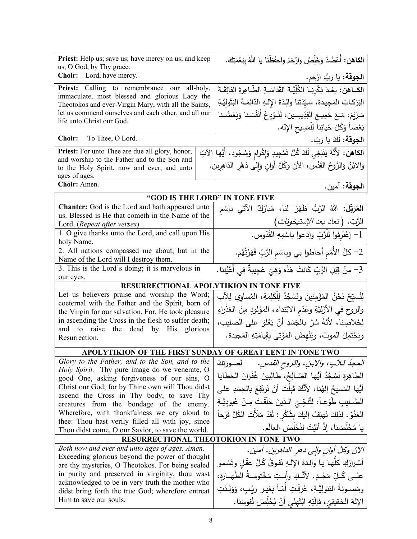| Priest: Help us; save us; have mercy on us; and keep<br>us, O God, by Thy grace.                            | ا <b>لكاهن:</b> أَعْضُدْ وَخَلِّصْ وارْحَمْ واحفَظْنا يا اللهُ بِنِعْمَتِكَ.                |  |
|-------------------------------------------------------------------------------------------------------------|---------------------------------------------------------------------------------------------|--|
| Choir: Lord, have mercy.                                                                                    | ا <b>لجوقة:</b> يا رَبُّ ارْحَم.                                                            |  |
| Priest: Calling to remembrance our all-holy,                                                                | الكــاهن: بَعْدَ ذِكْرِنـا الْكُلِّيَّةَ القَداسَـةِ الطَّـاهِرَةَ الفائِقَـةَ              |  |
| immaculate, most blessed and glorious Lady the<br>Theotokos and ever-Virgin Mary, with all the Saints,      | البَرَكاتِ المَجِيدة، سَيّدَتَنا والِدَةَ الإِلـهِ الدّائِمَـةَ البَتُولِيَّـةِ             |  |
| let us commend ourselves and each other, and all our                                                        | مَـرْيَمَ، مَـعَ جَمِيــع القِدِّيسِــين، الْذُوْدِعْ أَنْفُسَـنا وَبَعْضُـنا               |  |
| life unto Christ our God.                                                                                   | بَعْضاً وَكُلَّ حَياتِنا لِلْمَسِيحِ الإِله.                                                |  |
| Choir: To Thee, O Lord.                                                                                     | ا <b>لجوقة:</b> لَكَ يا رَبّ.                                                               |  |
| <b>Priest:</b> For unto Thee are due all glory, honor,                                                      | ا <b>لكاهن:</b> لأَنَّهُ يَنْبَغِي لَكَ كُلُّ تَمْجِيدٍ وَإِكْرامٍ وَسُجُودٍ، أَيُّها الآبُ |  |
| and worship to the Father and to the Son and<br>to the Holy Spirit, now and ever, and unto<br>ages of ages. | وَالِإِبْنُ وَالرُّوحُ القُدُسِ، الآنَ وَكُلَّ أُوانِ وَإِلى دَهْرِ الدّاهِرِينِ.           |  |
| Choir: Amen.                                                                                                | الجوقة: آمين.                                                                               |  |
|                                                                                                             | "GOD IS THE LORD" IN TONE FIVE                                                              |  |
| <b>Chanter:</b> God is the Lord and hath appeared unto                                                      | ا <b>لمُرَتِّل:</b> اللهُ الرَّبُّ ظَهَرَ لذا، مُبارَكٌ الآتى باسْم                         |  |
| us. Blessed is He that cometh in the Name of the<br>Lord. (Repeat after verses)                             | الرَّبّ. (تع <i>اد بعد الإستيخونات</i> )                                                    |  |
| 1. O give thanks unto the Lord, and call upon His<br>holy Name.                                             | 1- إعْتَرِفوا لِلْرَّبِّ وادْعوا باسْمِهِ القُدّوس.                                         |  |
| 2. All nations compassed me about, but in the<br>Name of the Lord will I destroy them.                      | 2– كلُّ الأُمَم أَحاطُوا بي وبِاسْمِ الرَّبِّ قَهَرْتُهُم.                                  |  |
| 3. This is the Lord's doing; it is marvelous in                                                             | 3– مِنْ قِبَلِ الرَّبِّ كَانَتْ هَذَه وَهِيَ عَجِيبةٌ فِي أَعْيُنِنَا.                      |  |
| our eyes.<br><b>RESURRECTIONAL APOLYTIKION IN TONE FIVE</b>                                                 |                                                                                             |  |
| Let us believers praise and worship the Word;                                                               | لِنُسبِّحْ نَحْنُ المُؤْمِنينَ ونَسْجُدْ لِلْكَلِمَةِ، المُساوِي لِلآبِ                     |  |
| coeternal with the Father and the Spirit, born of<br>the Virgin for our salvation. For, He took pleasure    | والروح في الأزَليَّةِ وعَدَم الابْتِداء، المَوْلودِ مِنَ العَذْراءِ                         |  |
| in ascending the Cross in the flesh to suffer death;                                                        | لِخَلاصِنا، لأَنَهُ سُرَّ بِالْجَسَدِ أَنْ يَعْلَوَ على الصليبِ،                            |  |
| and to raise the dead by His glorious                                                                       | وِيَحْتَمِلَ الموتَ، ويُنْهِضَ المَوْتِي بِقِيامَتِهِ المَجِيدةِ.                           |  |
| Resurrection.                                                                                               |                                                                                             |  |
|                                                                                                             | APOLYTIKION OF THE FIRST SUNDAY OF GREAT LENT IN TONE TWO                                   |  |
| Glory to the Father, and to the Son, and to the                                                             | المجدُ لـلآبِ، والابنِ، والروح القدسِ.       لِصورَتِكَ                                     |  |
| Holy Spirit. Thy pure image do we venerate, O<br>good One, asking forgiveness of our sins, O                | الطاهِرَةِ نَسْجُدُ أَيُّها الصّالِحُ، طالِبِينَ غُفْرانَ الخَطايا                          |  |
| Christ our God; for by Thine own will Thou didst                                                            | أَيُّها المَسيحُ إِلهُنا، لأَنَّكَ قَبِلْتَ أَنْ تَرتَفِعَ بِالْجَسَدِ على                  |  |
| ascend the Cross in Thy body, to save Thy                                                                   | الصَّـليبِ طَوْعـاً، لِتُنَجِّـىَ الـذينَ خَلَقْتَ مِـنْ عُبودِيَّـةِ                       |  |
| creatures from the bondage of the enemy.<br>Wherefore, with thankfulness we cry aloud to                    | العَدُقِ. لِذلِكَ نَهتِفُ إليكَ بِشُكْرِ : لَقَدْ مَلَأَتَ الكُلَّ فَرَحاً                  |  |
| thee: Thou hast verily filled all with joy, since                                                           |                                                                                             |  |
| Thou didst come, O our Savior, to save the world.                                                           | يا مُخَلِّصَنا، إذْ أَتَيْتَ لِتُخَلِّصَ العالَم.                                           |  |
| RESURRECTIONAL THEOTOKION IN TONE TWO                                                                       |                                                                                             |  |
| Both now and ever and unto ages of ages. Amen.<br>Exceeding glorious beyond the power of thought            | الآنَ وكُلَّ أُوانِ والِي دهرِ الداهرينِ. أمين.                                             |  |
| are thy mysteries, O Theotokos. For being sealed                                                            | أَسْرارُكِ كلَّها يا والدةَ الإلهِ تَفوقُ كُلَّ عقْلِ وتَسْمو                               |  |
| in purity and preserved in virginity, thou wast                                                             | علــي كُـلّ مَجْـدٍ. لأَنَّـكِ وأنــتِ مَخْتومــةُ الطّهــارَةِ،                            |  |
| acknowledged to be in very truth the mother who<br>didst bring forth the true God; wherefore entreat        | ومَصـونةُ البَتوليَّـةِ، عُرفْتِ أمّـاً بغيـر رئِـبٍ، وَوَلـدْتِ                            |  |
| Him to save our souls.                                                                                      | الإِلهَ الْحَقيقيِّ، فَإِلَيْهِ ابْتَهِلِّي أَنْ يُخَلِّصَ نُفُوسَنا.                       |  |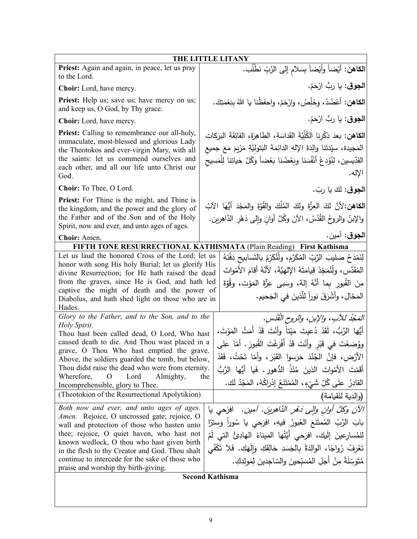| THE LITTLE LITANY                                                                                                                                                                                                                                                                                                                                                                                                                                                                                         |                                                                                                                                                                                                                                                                                                                                                                                                                                                                                                                 |  |  |
|-----------------------------------------------------------------------------------------------------------------------------------------------------------------------------------------------------------------------------------------------------------------------------------------------------------------------------------------------------------------------------------------------------------------------------------------------------------------------------------------------------------|-----------------------------------------------------------------------------------------------------------------------------------------------------------------------------------------------------------------------------------------------------------------------------------------------------------------------------------------------------------------------------------------------------------------------------------------------------------------------------------------------------------------|--|--|
| Priest: Again and again, in peace, let us pray<br>to the Lord.                                                                                                                                                                                                                                                                                                                                                                                                                                            | الكاهن: أيْضاً وأيْضاً بِسَلامِ إلى الرَّبِّ نَطْلُب.                                                                                                                                                                                                                                                                                                                                                                                                                                                           |  |  |
| Choir: Lord, have mercy.                                                                                                                                                                                                                                                                                                                                                                                                                                                                                  | ا <b>لجوق</b> : يا ربُّ ارْحَمْ.                                                                                                                                                                                                                                                                                                                                                                                                                                                                                |  |  |
| <b>Priest:</b> Help us; save us; have mercy on us;<br>and keep us, O God, by Thy grace.                                                                                                                                                                                                                                                                                                                                                                                                                   | الكاهن: أعْضُدْ، وَخَلِّصْ، وارْحَمْ، واحفَظْنا يا اللهُ بنِعْمَتِكَ.                                                                                                                                                                                                                                                                                                                                                                                                                                           |  |  |
| Choir: Lord, have mercy.                                                                                                                                                                                                                                                                                                                                                                                                                                                                                  | ا <b>لجوق</b> : يا ربُّ ارْحَمْ.                                                                                                                                                                                                                                                                                                                                                                                                                                                                                |  |  |
| <b>Priest:</b> Calling to remembrance our all-holy,<br>immaculate, most-blessed and glorious Lady<br>the Theotokos and ever-virgin Mary, with all<br>the saints: let us commend ourselves and<br>each other, and all our life unto Christ our<br>God.                                                                                                                                                                                                                                                     | ا <b>لكاهن:</b> بعدَ ذِكْرِنا الكُلِّيَّةَ القَداسَةِ، الطاهِرَةَ، الفائِقَةَ البَرَكاتِ<br>المَجيدة، سيِّدَتَنا والِدَةَ الإِلهِ الدائِمَةَ البَتولِيَّةِ مَرْيَمَ مَعَ جميع<br>القدِّيسين، لِنُؤدِعْ أَنْفُسَنا وبَعْضُنا بَعْضاً وَكُلَّ حَياتِنا لِلْمَسيح<br>الإله.                                                                                                                                                                                                                                        |  |  |
| Choir: To Thee, O Lord.                                                                                                                                                                                                                                                                                                                                                                                                                                                                                   | ا <b>لجوق</b> : لكَ يا ربّ.                                                                                                                                                                                                                                                                                                                                                                                                                                                                                     |  |  |
| <b>Priest:</b> For Thine is the might, and Thine is<br>the kingdom, and the power and the glory of<br>the Father and of the Son and of the Holy<br>Spirit, now and ever, and unto ages of ages.                                                                                                                                                                                                                                                                                                           | الكاهن:لأنَّ لكَ العِزَّةَ ولكَ المُلْكَ والقُوَّةَ والمَجْدَ أَيُّها الآبُ<br>والإبنُ والروحُ القُدُسُ، الآنَ وكُلَّ أوانِ وإلى دَهْرِ الدَّاهِرين.                                                                                                                                                                                                                                                                                                                                                            |  |  |
| Choir: Amen.                                                                                                                                                                                                                                                                                                                                                                                                                                                                                              | ا <b>لجوق</b> : آمين.                                                                                                                                                                                                                                                                                                                                                                                                                                                                                           |  |  |
|                                                                                                                                                                                                                                                                                                                                                                                                                                                                                                           | FIFTH TONE RESURRECTIONAL KATHISMATA (Plain Reading) First Kathisma                                                                                                                                                                                                                                                                                                                                                                                                                                             |  |  |
| Let us laud the honored Cross of the Lord; let us<br>honor with song His holy Burial; let us glorify His<br>divine Resurrection; for He hath raised the dead<br>from the graves, since He is God, and hath led<br>captive the might of death and the power of<br>Diabolus, and hath shed light on those who are in<br>Hades.                                                                                                                                                                              | لِنَمْدَحْ صَليبَ الرَّبِّ المُكَرَّمَ، ولِّنُكَرِّمْ بِالنَّسابيحِ دَفْنَهُ<br>المُقَدَّس، ولْنُمَجِّدْ قِيامَتَهُ الإِلهيَّةَ، لأَنَّهُ أقامَ الأَمْواتَ<br>مِنَ القُبورِ بِما أَنَّهُ إِلهٌ، وسَبِي عِزَّةَ المَوْتِ، وقُوَّةَ<br>المَحّالِ، وأشْرَقَ نوراً لِلَّذينَ في الجَحيم.                                                                                                                                                                                                                            |  |  |
| Glory to the Father, and to the Son, and to the<br>Holy Spirit.<br>Thou hast been called dead, O Lord, Who hast<br>caused death to die. And Thou wast placed in a<br>grave, O Thou Who hast emptied the grave.<br>Above, the soldiers guarded the tomb, but below,<br>Thou didst raise the dead who were from eternity.<br>Wherefore,<br>Lord<br>$\Omega$<br>Almighty,<br>Incomprehensible, glory to Thee.<br>(Theotokion of the Resurrectional Apolytikion)<br>Both now and ever, and unto ages of ages. | المَجْدُ للآبِ، والإبنِ، والروحِ الْقُدُسِ.<br>أَيُّها الرَّبُّ، لَقَدْ دُعيتَ مَيْتاً وأَنْتَ قَدْ أَمَتَّ المَوْتَ،<br>ووُضِعْتَ في قَبْرِ وأَنْتَ قَدْ أَفْرَغْتَ القُبورَ . أمّا على<br>الأَرْض، فإنَّ الْجُنْدَ حَرَسوا القَبْرَ ، وأَمّا تَحْتُ، فَقَدْ<br>أَقَمْتَ الأَمْواتَ الذينَ مُنْذُ الدُّهورِ . فَيا أَيُّها الرَّبُّ<br>the<br>القادِرُ   على كُلِّ شَيْءٍ،  المُمْتَنَعُ  إِدْراكُهُ،  المَجْدُ  لَك.<br>(والدية للقيامة)<br>الآنَ وكُلَّ أُوانِ والِّي دَهُرِ الذَّاهِرِينَ. آمين.  افرَحي يا |  |  |
| Amen. Rejoice, O uncrossed gate; rejoice, O<br>wall and protection of those who hasten unto<br>thee; rejoice, O quiet haven, who hast not<br>known wedlock, O thou who hast given birth<br>in the flesh to thy Creator and God. Thou shalt<br>continue to intercede for the sake of those who<br>praise and worship thy birth-giving.                                                                                                                                                                     | بابَ الرَّبِّ المُمتَنَعَ العُبورُ فيهِ، افرَحي يا سُوراَ وَسِترًا<br>لِلمُسارِعينَ إِلَيكِ، افرَحي أَيَّتُها الميناءُ الهادِئُ التي لَمْ<br>تَعْرِفْ زَواجًا، الوالِدَةُ بِالْجَسَدِ خالِقَكِ وَإِلَهَكِ. فَلا تَكُفّي<br>مُتَوَسِّلَةً مِنْ أجلِ المُسَبّحينَ والسّاجدينَ لِمَولدِكِ.<br><b>Second Kathisma</b>                                                                                                                                                                                               |  |  |
|                                                                                                                                                                                                                                                                                                                                                                                                                                                                                                           |                                                                                                                                                                                                                                                                                                                                                                                                                                                                                                                 |  |  |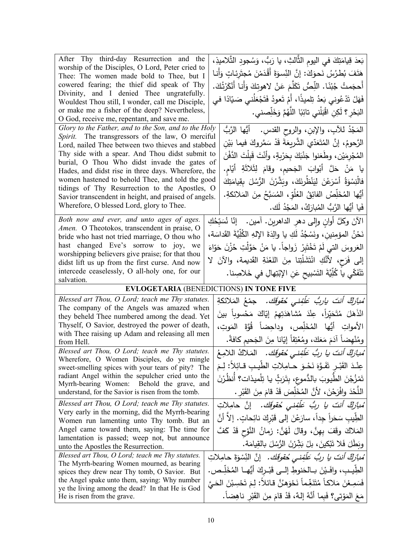| After Thy third-day Resurrection and the<br>worship of the Disciples, O Lord, Peter cried to<br>Thee: The women made bold to Thee, but I<br>cowered fearing; the thief did speak of Thy<br>Divinity, and I denied Thee ungratefully.<br>Wouldest Thou still, I wonder, call me Disciple,<br>or make me a fisher of the deep? Nevertheless,<br>O God, receive me, repentant, and save me.                                                                                                                                            | بَعدَ قِيامَتِكَ في اليومِ الثَّالثِ، يا رَبُّ، وَسُجودِ التَّلاميذِ،<br>هَتَفَ بُطْرُسُ نَحوَكَ: إنَّ النِّسوَةَ أَقْدَمْنَ مُجتَرِئاتٍ وَأَنا<br>أَحجَمتُ جُبْنًا. اللِّصُّ تَكَلَّمَ عَنْ لاهوتِكَ وَأَنا أَنْكَرْتُكَ.<br>فَهَلْ تَدْعُوني بَعدُ تِلميذًا، أَمْ تَعودُ فَتَجْعَلُني صَيّادًا في<br>الْبَحْرِ ؟ لَكِنِ اقْبَلْنِي تائِبًا اللَّهُمَّ وَخَلِّصني.                                                                                                                 |
|-------------------------------------------------------------------------------------------------------------------------------------------------------------------------------------------------------------------------------------------------------------------------------------------------------------------------------------------------------------------------------------------------------------------------------------------------------------------------------------------------------------------------------------|-------------------------------------------------------------------------------------------------------------------------------------------------------------------------------------------------------------------------------------------------------------------------------------------------------------------------------------------------------------------------------------------------------------------------------------------------------------------------------------|
| Glory to the Father, and to the Son, and to the Holy<br>Spirit. The transgressors of the law, O merciful<br>Lord, nailed Thee between two thieves and stabbed<br>Thy side with a spear. And Thou didst submit to<br>burial, O Thou Who didst invade the gates of<br>Hades, and didst rise in three days. Wherefore, the<br>women hastened to behold Thee, and told the good<br>tidings of Thy Resurrection to the Apostles, O<br>Savior transcendent in height, and praised of angels.<br>Wherefore, O blessed Lord, glory to Thee. | المَجْدُ للأبِ، والإبنِ، والروح القدسِ.    أَيُّها الرَّبُّ<br>الرَّحومُ، إنَّ المُتَعَدّي الشَّربِعَةَ قَدْ سَمَّروكَ فيما بَيْن<br>المُجْرِمَيْنِ، وطَعَنوا جَنْبَكَ بِحَرْبِةٍ، وأَنْتَ قَبِلْتَ الدَّفْنَ<br>يا مَنْ حَلَّ أَبْوابَ الْجَحيم، وقامَ لِثَلاثَةِ أَيّام.<br>فالْنِسْوَةُ أَسْرَعْنَ لِيَنْظُرِنَكَ، وبَشَّرْنَ الرُّسُلَ بِقِيامَتِكَ<br>أَيُّها المُخَلِّصُ الفائِقُ العُلُوِّ، المُسَبَّحُ مِنَ المَلائكةِ.<br>فَيا أَيُّها الرَّبُّ الْمُبارَكُ، المَجْدُ لَك. |
| Both now and ever, and unto ages of ages.<br>Amen. O Theotokos, transcendent in praise, O<br>bride who hast not tried marriage, O thou who<br>hast changed Eve's sorrow to joy, we<br>worshipping believers give praise; for that thou<br>didst lift us up from the first curse. And now<br>intercede ceaselessly, O all-holy one, for our<br>salvation.                                                                                                                                                                            | الآنَ وكلَّ أوانٍ وإِلى دهرِ الداهرينَ. آمين.   إنّا نُسَبِّحُكِ<br>نَحْنُ المؤمِنين، ونَسْجُدُ لَكِ يا والِدَةَ الإِلهِ الكُلِّيَّةَ القَداسَة،<br>العَروسَ التي لَمْ تَخْتَبِرْ زَواجاً. يا مَنْ حَوَّلْتِ حُزْنَ حَوّاءَ<br>إلى فَرَح، لأَنَّكِ انْتَشَلَّتِنا مِنَ اللَّغْنَةِ القَديمة، والآنَ لا<br>تَنْفَكّي يا كُلِّيَّةَ التَسْبِيحِ عَنِ الإِبْتِهالِ في خَلاصِنا.                                                                                                        |
|                                                                                                                                                                                                                                                                                                                                                                                                                                                                                                                                     | EVLOGETARIA (BENEDICTIONS) IN TONE FIVE                                                                                                                                                                                                                                                                                                                                                                                                                                             |
| Blessed art Thou, O Lord; teach me Thy statutes.<br>The company of the Angels was amazed when<br>they beheld Thee numbered among the dead. Yet<br>Thyself, O Savior, destroyed the power of death,<br>with Thee raising up Adam and releasing all men<br>from Hell.                                                                                                                                                                                                                                                                 | ُ <i>مْبِأَرِكٌ أَنتَ يارِبُّ عَلَّفِنِي حُقوقَكَ.</i> جمْعُ المَلائكةِ<br>انْذَهَلَ مُتَحَيِّراً، عِنْدَ مُشاهَدَتِهِمْ إِيَّاكَ مَحْسوباً بينَ<br>الأمواتِ أَيُّها المُخَلِّص، وداحِضاً قُوَّةَ المَوتِ،<br>ومُنْهِضاً آدَمَ مَعَكَ، ومُعْتِقاً إيّانا مِنَ الجَحيم كافةً.                                                                                                                                                                                                        |
| Blessed art Thou, O Lord; teach me Thy statutes.<br>Wherefore, O Women Disciples, do ye mingle<br>sweet-smelling spices with your tears of pity? The<br>radiant Angel within the sepulcher cried unto the<br>Myrrh-bearing Women:<br>Behold the grave, and<br>understand, for the Savior is risen from the tomb.                                                                                                                                                                                                                    | مُ <i>بارَكٌ أنتَ يا ربُّ عَلَّفِني حُقوقَك.</i> المَلاكُ اللامِعُ<br>عِنْدَ الْقَبْـرِ تَفَـوَّهَ نَحْـوَ حــامِلاتِ الطيـب قــائِلا: لِـمَ<br>تَمْزُجْنَ الطّيوبَ بالدُّموعِ، بِتَرَثٍّ يا تِلْميذات؟ أَنظُرْنَ<br>اللَّحْدَ وافْرَحْنَ، لأَنَّ المُخَلِّصَ قَدْ قامَ مِنَ الْقَبْرِ .                                                                                                                                                                                            |
| Blessed art Thou, O Lord; teach me Thy statutes.<br>Very early in the morning, did the Myrrh-bearing                                                                                                                                                                                                                                                                                                                                                                                                                                | ُ <i>مْبازِكٌ أَنتَ يا ربُّ عَلَّفِنى حُقوقَكَ.</i> إِنَّ حامِلاتِ                                                                                                                                                                                                                                                                                                                                                                                                                  |
| Women run lamenting unto Thy tomb. But an<br>Angel came toward them, saying: The time for<br>lamentation is passed; weep not, but announce<br>unto the Apostles the Resurrection.<br>Blessed art Thou, O Lord; teach me Thy statutes.                                                                                                                                                                                                                                                                                               | الطِّيب سَحَراً جداً، سارَعْنَ إلى قَبْرِكَ نائِحاتٍ. إلا أنَّ<br>المَلاكَ وقَفَ بِهِنَّ، وقالَ لَهُنَّ: زمانُ النَّوْحِ قَدْ كَفَّ<br>وبَطَلَ فَلا تَبْكينَ، بِلْ بَشِّرْنَ الرُّسُلَ بِالقِيامَةِ.<br>ُ <i>مبارَكٌ أنتَ يا ربُّ عَلَّفِنى مُقوقَك.</i> إنَّ النِّسْوَةَ حامِلاتِ                                                                                                                                                                                                  |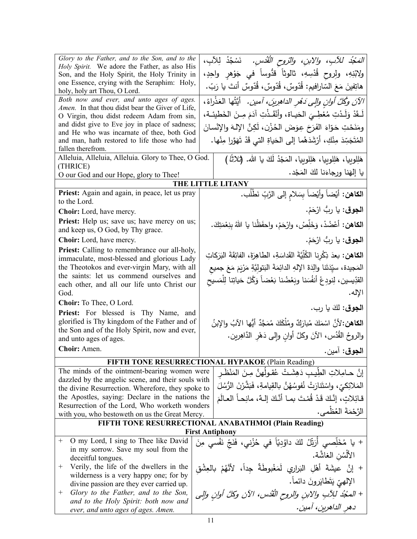| Glory to the Father, and to the Son, and to the<br>Holy Spirit. We adore the Father, as also His      | الْصَجُدُ للآبِ، والابنِ، والتروحِ الْقُدْسِ.  نَسْجُدُ لِلآبِ،                            |
|-------------------------------------------------------------------------------------------------------|--------------------------------------------------------------------------------------------|
| Son, and the Holy Spirit, the Holy Trinity in                                                         | ولابْنِهِ، ولِروح قُدْسِهِ، ثالوثاً قدُّوساً في جَوْهرِ واحِدٍ،                            |
| one Essence, crying with the Seraphim: Holy,                                                          | ِ هاتِفينَ مَعَ السّارافيم: قُدّوسٌ، قُدّوسٌ، قُدّوسٌ أنتَ يا رَبّ.                        |
| holy, holy art Thou, O Lord.                                                                          |                                                                                            |
| Both now and ever, and unto ages of ages.<br>Amen. In that thou didst bear the Giver of Life,         | الآنَ وكُلَّ أُوانِ والِي دَهْرِ الداهِرِينَ، أَمين. أَيَّتُها الْعَذْراءُ،                |
| O Virgin, thou didst redeem Adam from sin,                                                            | لَـقَدْ وَلَـدْتِ مُعْطِـىَ الحَيـاة، وأَنْقَـذْتِ آدَمَ مِـنَ الخَطيئـة،                  |
| and didst give to Eve joy in place of sadness;                                                        | ومَنَحْتِ حَوّاءَ الفَرَحَ عِوَضَ الحُزْنِ، لَكِنَّ الإِلهَ والإِنْسانَ                    |
| and He who was incarnate of thee, both God                                                            |                                                                                            |
| and man, hath restored to life those who had<br>fallen therefrom.                                     | الْمُتَجَسِّدَ مِنْكِ، أَرْشَدَهُما إِلَى الْحَياةِ الَّتِي قَدْ تَهَوَّرا مِنْها.         |
| Alleluia, Alleluia, Alleluia. Glory to Thee, O God.                                                   | هَلِلوبيا، هَلِلوبيا، هَلِلوبيا، المَجْدُ لَكَ يا الله. (ثلاثًا)                           |
| (THRICE)                                                                                              |                                                                                            |
| O our God and our Hope, glory to Thee!                                                                | يا إلهَنا ورجاءَنا لكَ المَجْد.                                                            |
|                                                                                                       | THE LITTLE LITANY                                                                          |
| Priest: Again and again, in peace, let us pray<br>to the Lord.                                        | ا <b>لكاهن:</b> أيْضاً وأيْضاً بِسَلامِ إلى الرَّبِّ نَطْلُب.                              |
| Choir: Lord, have mercy.                                                                              | ا <b>لجوق</b> : يا ربُّ ارْحَمْ.                                                           |
| <b>Priest:</b> Help us; save us; have mercy on us;                                                    |                                                                                            |
| and keep us, O God, by Thy grace.                                                                     | ا <b>لكاهن:</b> أعْضُدْ، وَخَلِّصْ، وارْحَمْ، واحفَظْنا يا اللهُ بِنِعْمَتِكَ.             |
| Choir: Lord, have mercy.                                                                              | ا <b>لجوق</b> : يا ربُّ ارْحَمْ.                                                           |
| <b>Priest:</b> Calling to remembrance our all-holy,                                                   | ا <b>لكاهن:</b> بعدَ ذِكْرِنا الكُلِّيَّةَ القَداسَةِ، الطاهِرَةَ، الفائِقَةَ البَرَكاتِ   |
| immaculate, most-blessed and glorious Lady<br>the Theotokos and ever-virgin Mary, with all            |                                                                                            |
| the saints: let us commend ourselves and                                                              | المَجيدة، سيِّدَتَنا والِدَةَ الإِلهِ الدائِمَةَ البَتولِيَّةِ مَرْيَمَ مَعَ جميع          |
| each other, and all our life unto Christ our                                                          | القدِّيسين، لِنودِعْ أَنفُسَنا وبَعْضُنا بَعْضاً وَكُلَّ حَياتِنا لِلْمَسيح                |
| God.                                                                                                  | الإله.                                                                                     |
| Choir: To Thee, O Lord.                                                                               | ا <b>لجوق:</b> لكَ يا رب.                                                                  |
| Priest: For blessed is Thy Name, and<br>glorified is Thy kingdom of the Father and of                 |                                                                                            |
| the Son and of the Holy Spirit, now and ever,                                                         | ا <b>لكاهن:</b> 'لأنَّ اسْمَكَ مُبارَكٌ ومُلْكَكَ مُمَجَّدٌ أيُّها الآبُ والإبنُ           |
| and unto ages of ages.                                                                                | والروحُ القُدُس، الآنَ وكلَّ أوانِ وإلى دَهْرِ الدَّاهِرين.                                |
| Choir: Amen.                                                                                          | ا <b>لجوق</b> : آمين.                                                                      |
|                                                                                                       | FIFTH TONE RESURRECTIONAL HYPAKOE (Plain Reading)                                          |
| The minds of the ointment-bearing women were                                                          | إنَّ حـامِلاتِ الطِّيبِ دَهِشَتْ عُقولَهنَّ مِـنَ المَنْظُـرِ                              |
| dazzled by the angelic scene, and their souls with                                                    | المَلائِكيِّ، واسْتَنارَتْ نُفوسُهُنَّ بالقِيامةِ، فَبَشَّرْنَ الرُّسُلَ                   |
| the divine Resurrection. Wherefore, they spoke to<br>the Apostles, saying: Declare in the nations the |                                                                                            |
| Resurrection of the Lord, Who worketh wonders                                                         | قائِلاتِ، إنَّكَ قَدْ قُمْتَ بما أنَّكَ إلـهٌ، مانِحاً العالَمَ                            |
| with you, who bestoweth on us the Great Mercy.                                                        | الرَّحْمَةَ العُظْمي.                                                                      |
|                                                                                                       | FIFTH TONE RESURRECTIONAL ANABATHMOI (Plain Reading)                                       |
|                                                                                                       | <b>First Antiphony</b>                                                                     |
| O my Lord, I sing to Thee like David<br>$^+$                                                          | + يا مُخَلِّصبي أُرَتِّلُ لَكَ داوُدِيَّاً في حُزْني، فَنَجِّ نَفْسي مِنَ<br>سنُّف سيديَّة |
| in my sorrow. Save my soul from the<br>deceitful tongues.                                             | الأَلْسُن الغاشَّة.                                                                        |
| Verily, the life of the dwellers in the<br>$^+$                                                       | + إِنَّ عيشَةَ أَهْلِ البَرارِي لَمَغْبوطَةٌ جِداً، لأَنَّهُمْ بِالْعِشْقِ                 |
| wilderness is a very happy one; for by                                                                | الإلهيّ يَتَطايَرونَ دائماً.                                                               |
| divine passion are they ever carried up.<br>Glory to the Father, and to the Son,<br>$^+$              |                                                                                            |
| and to the Holy Spirit: both now and                                                                  | + المحْدُ للِآبِ والابنِ والروحِ الْقُدُسِ، الآنِ وكلَّ أُوانِ وإلى                        |
| ever, and unto ages of ages. Amen.                                                                    | دهر الداهرين، آمين.                                                                        |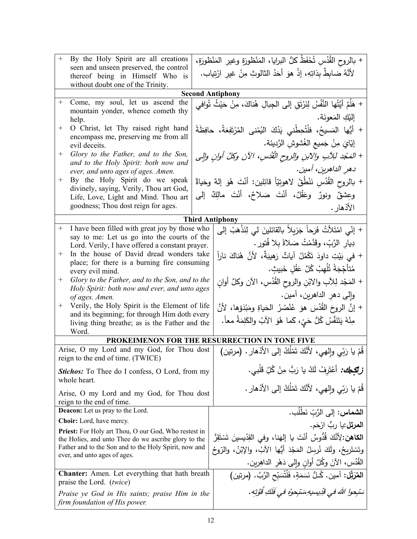| $+$                                                                                   | By the Holy Spirit are all creations                                                     |                                      | + بالروح القُدُسِ تُحْفَظُ كلُّ البرايا، المَنْظورَةِ وغيرِ المَنْظورَةِ،          |
|---------------------------------------------------------------------------------------|------------------------------------------------------------------------------------------|--------------------------------------|------------------------------------------------------------------------------------|
|                                                                                       | seen and unseen preserved, the control                                                   |                                      | لأنَّهُ ضابِطٌ بِذاتِهِ، إذْ هوَ أَحَدُ الثالوثِ مِنْ غيرِ ارْتِياب.               |
|                                                                                       | thereof being in Himself Who is<br>without doubt one of the Trinity.                     |                                      |                                                                                    |
|                                                                                       |                                                                                          |                                      | <b>Second Antiphony</b>                                                            |
| $^{+}$                                                                                | Come, my soul, let us ascend the                                                         |                                      | + هَلُمَّ أَيَّتُها النَّفْسُ لِنَرْبَقٍ إلى الجِبالِ هُناكَ، مِنْ حَيْثُ تُوافي   |
|                                                                                       | mountain yonder, whence cometh thy                                                       |                                      |                                                                                    |
|                                                                                       | help.                                                                                    |                                      | إلَيْكِ المَعونَة.                                                                 |
| $^{+}$                                                                                | O Christ, let Thy raised right hand<br>encompass me, preserving me from all              |                                      | + أَيُّها المَسيحُ، فلْتُحِطْني يَدُكَ النُمْنى المُرْتَفِعَةُ، حافِظَةً           |
|                                                                                       | evil deceits.                                                                            |                                      | إِيّايَ مِنْ جَميعِ الغُشوشِ الرَّدِيئة.                                           |
| $^+$                                                                                  | Glory to the Father, and to the Son,<br>and to the Holy Spirit: both now and             |                                      | + المَجْد للِآبِ والأبنِ والروح الْقُدُسِ، الآنِ وكلَّ أُوانٍ والٍي                |
|                                                                                       | ever, and unto ages of ages. Amen.                                                       |                                      | دهرِ الداهرينِ، آمينِ.                                                             |
| $^{+}$                                                                                | By the Holy Spirit do we speak                                                           |                                      | + بالروح القُدُسِ نَنْطُقُ لاهوتِيّاً قائِلين: أنْتَ هُوَ إلهٌ وحَياةٌ             |
|                                                                                       | divinely, saying, Verily, Thou art God,                                                  |                                      | وعِشقٌ ونورٌ وعَقْلٌ، أَنْتَ صَلاحٌ، أَنْتَ مالِكٌ إلى                             |
|                                                                                       | Life, Love, Light and Mind. Thou art<br>goodness; Thou dost reign for ages.              |                                      | الأذهار .                                                                          |
|                                                                                       |                                                                                          |                                      | <b>Third Antiphony</b>                                                             |
| $^{+}$                                                                                | I have been filled with great joy by those who                                           |                                      | + إِنِّي امْتَلأْتُ فَرَحاً جَزِيلاً بالقائلينَ لي لِنَذْهَبْ إِلي                 |
|                                                                                       | say to me: Let us go into the courts of the                                              |                                      |                                                                                    |
|                                                                                       | Lord. Verily, I have offered a constant prayer.                                          |                                      | دِيارِ الرَّبِّ، وقَدَّمْتُ صَلاةً بلا فُتورٍ .                                    |
| $^+$                                                                                  | In the house of David dread wonders take<br>place; for there is a burning fire consuming |                                      | + في بَيْتِ داودَ تَكْمُلُ آياتٌ رَهيبَةٌ، لأنَّ هُناكَ ناراً                      |
|                                                                                       | every evil mind.                                                                         |                                      | مُتأَجِّجَةً تُلْهِبُ كُلَّ عَقْلِ خَبِيثٍ.                                        |
| $^{+}$                                                                                | Glory to the Father, and to the Son, and to the                                          |                                      | + المَجْد لِلآبِ والابْنِ والروح القُدُسِ، الآن وكلَّ أوانِ                        |
|                                                                                       | Holy Spirit: both now and ever, and unto ages                                            |                                      | وإِلىي دهرِ الداهرينِ، أمين.                                                       |
| of ages. Amen.<br>Verily, the Holy Spirit is the Element of life<br>$+$               |                                                                                          |                                      | + إنَّ الروحَ القُدُسَ هوَ عُنْصُرُ الحَياةِ ومَبْدَؤها، لأنَّ                     |
|                                                                                       | and its beginning; for through Him doth every                                            |                                      |                                                                                    |
|                                                                                       | living thing breathe; as is the Father and the                                           |                                      | مِنْهُ يَتَنَفَّسُ كُلُّ حَيٍّ، كَما هُوَ الآبُ والكَلِمَةُ معاً.                  |
| Word.                                                                                 |                                                                                          |                                      | PROKEIMENON FOR THE RESURRECTION IN TONE FIVE                                      |
|                                                                                       | Arise, O my Lord and my God, for Thou dost                                               |                                      |                                                                                    |
|                                                                                       | reign to the end of time. (TWICE)                                                        |                                      | قُمْ يا رَبِّي وإلهي، لأَنَّكَ تَمْلُكُ إلى الأَدْهارِ . (مرتين)                   |
|                                                                                       | <b>Stichos:</b> To Thee do I confess, O Lord, from my                                    |                                      | <b>زتَّكِيك:</b> أَعْتَرِفُ لَكُ يا رَبُّ مِنْ كُلِّ قَلْبي.                       |
| whole heart.                                                                          |                                                                                          |                                      | قُمْ يا رَبِّي والهي، لأَنَّكَ تَمْلُكُ إلى الأَدْهارِ .                           |
| Arise, O my Lord and my God, for Thou dost                                            |                                                                                          |                                      |                                                                                    |
| reign to the end of time.<br><b>Deacon:</b> Let us pray to the Lord.                  |                                                                                          | ا <b>لشماس:</b> إلى الرَّبّ نَطْلُب. |                                                                                    |
|                                                                                       | Choir: Lord, have mercy.                                                                 |                                      |                                                                                    |
| <b>Priest:</b> For Holy art Thou, O our God, Who restest in                           |                                                                                          |                                      | ا <b>لمرتل:</b> يا ربُّ ارْحَم.                                                    |
| the Holies, and unto Thee do we ascribe glory to the                                  |                                                                                          |                                      | ا <b>لكاهن:</b> لِأَنَّكَ قُدُّوسٌ أَنْتَ يا إِلهَنا، وفي القِدِّيسينَ تَسْتَقِرُّ |
| Father and to the Son and to the Holy Spirit, now and<br>ever, and unto ages of ages. |                                                                                          |                                      | وتَسْتَرِيحُ، ولَكَ نُرسِلُ المَجْدَ أَيُّها الآبُ، والإِبْنُ، والرّوحُ            |
|                                                                                       |                                                                                          |                                      | القُدُس، الآنَ وكُلَّ أُوانِ وإلى دَهْرِ الداهِرين.                                |
|                                                                                       | <b>Chanter:</b> Amen. Let everything that hath breath<br>praise the Lord. (twice)        |                                      | المُرَبِّل: آمين. كُـلُّ نَسَمَةٍ، فَلْتُسَبِّحِ الرَّبَّ. (مرتين)                 |
|                                                                                       |                                                                                          |                                      | سَبْحوا اللهَ في قَدِيسِيهِ سَبْحوهُ في فَلَكِ قُوَّتِه .                          |
| Praise ye God in His saints; praise Him in the<br>firm foundation of His power.       |                                                                                          |                                      |                                                                                    |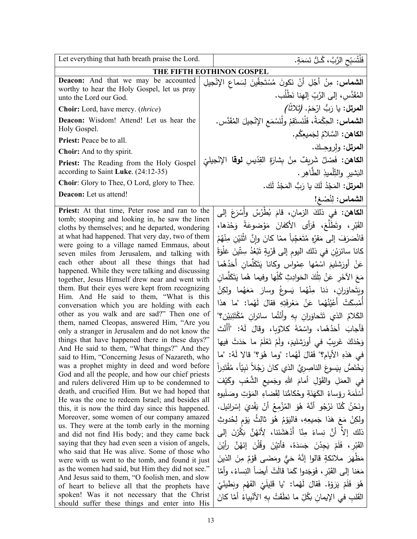| Let everything that hath breath praise the Lord.                                                                                                                                                                                                                                                                                                                                                                                                                                                                                                                                                                                                                                                                                                                                                                                                                                                                                                                                                                                                                                                                                                                                                                                                                                                                                                                                                                                                                                                                                                                                                                                                                                                                                                                | فَلْثُسَبِّحِ الرَّبَّ، كُـلُّ نَسَمَةٍ.                                                                                                                                                                                                                                                                                                                                                                                                                                                                                                                                                                                                                                                                                                                                                                                                                                                                                                                                                                                                                                                                                                                                                                                                                                                                                                                                                                                                                                                                                                                                                                                                 |
|-----------------------------------------------------------------------------------------------------------------------------------------------------------------------------------------------------------------------------------------------------------------------------------------------------------------------------------------------------------------------------------------------------------------------------------------------------------------------------------------------------------------------------------------------------------------------------------------------------------------------------------------------------------------------------------------------------------------------------------------------------------------------------------------------------------------------------------------------------------------------------------------------------------------------------------------------------------------------------------------------------------------------------------------------------------------------------------------------------------------------------------------------------------------------------------------------------------------------------------------------------------------------------------------------------------------------------------------------------------------------------------------------------------------------------------------------------------------------------------------------------------------------------------------------------------------------------------------------------------------------------------------------------------------------------------------------------------------------------------------------------------------|------------------------------------------------------------------------------------------------------------------------------------------------------------------------------------------------------------------------------------------------------------------------------------------------------------------------------------------------------------------------------------------------------------------------------------------------------------------------------------------------------------------------------------------------------------------------------------------------------------------------------------------------------------------------------------------------------------------------------------------------------------------------------------------------------------------------------------------------------------------------------------------------------------------------------------------------------------------------------------------------------------------------------------------------------------------------------------------------------------------------------------------------------------------------------------------------------------------------------------------------------------------------------------------------------------------------------------------------------------------------------------------------------------------------------------------------------------------------------------------------------------------------------------------------------------------------------------------------------------------------------------------|
|                                                                                                                                                                                                                                                                                                                                                                                                                                                                                                                                                                                                                                                                                                                                                                                                                                                                                                                                                                                                                                                                                                                                                                                                                                                                                                                                                                                                                                                                                                                                                                                                                                                                                                                                                                 | THE FIFTH EOTHINON GOSPEL                                                                                                                                                                                                                                                                                                                                                                                                                                                                                                                                                                                                                                                                                                                                                                                                                                                                                                                                                                                                                                                                                                                                                                                                                                                                                                                                                                                                                                                                                                                                                                                                                |
| Deacon: And that we may be accounted<br>worthy to hear the Holy Gospel, let us pray<br>unto the Lord our God.                                                                                                                                                                                                                                                                                                                                                                                                                                                                                                                                                                                                                                                                                                                                                                                                                                                                                                                                                                                                                                                                                                                                                                                                                                                                                                                                                                                                                                                                                                                                                                                                                                                   | ا <b>لشماس:</b> مِنْ أَجْلِ أَنْ نَكونَ مُسْتَحِقّينَ لِسَماعِ الإِنْجِيلِ<br>المُقَدَّس، إلى الرَّبّ إلهنا نَطْلُب.                                                                                                                                                                                                                                                                                                                                                                                                                                                                                                                                                                                                                                                                                                                                                                                                                                                                                                                                                                                                                                                                                                                                                                                                                                                                                                                                                                                                                                                                                                                     |
| <b>Choir:</b> Lord, have mercy. <i>(thrice)</i>                                                                                                                                                                                                                                                                                                                                                                                                                                                                                                                                                                                                                                                                                                                                                                                                                                                                                                                                                                                                                                                                                                                                                                                                                                                                                                                                                                                                                                                                                                                                                                                                                                                                                                                 | ا <b>لمرتل:</b> يا رَبُّ ارْحَمْ. <i>(ثلاثاً)</i>                                                                                                                                                                                                                                                                                                                                                                                                                                                                                                                                                                                                                                                                                                                                                                                                                                                                                                                                                                                                                                                                                                                                                                                                                                                                                                                                                                                                                                                                                                                                                                                        |
| Deacon: Wisdom! Attend! Let us hear the<br>Holy Gospel.                                                                                                                                                                                                                                                                                                                                                                                                                                                                                                                                                                                                                                                                                                                                                                                                                                                                                                                                                                                                                                                                                                                                                                                                                                                                                                                                                                                                                                                                                                                                                                                                                                                                                                         | <b>الشماس:</b> الحِكْمَةُ، فَلْنَستَقِمْ ولْنَسْمَع الإِنْجيلَ المُقَدَّس.                                                                                                                                                                                                                                                                                                                                                                                                                                                                                                                                                                                                                                                                                                                                                                                                                                                                                                                                                                                                                                                                                                                                                                                                                                                                                                                                                                                                                                                                                                                                                               |
| Priest: Peace be to all.                                                                                                                                                                                                                                                                                                                                                                                                                                                                                                                                                                                                                                                                                                                                                                                                                                                                                                                                                                                                                                                                                                                                                                                                                                                                                                                                                                                                                                                                                                                                                                                                                                                                                                                                        | الكاهن: السَّلامُ لِجَميعِكُم.                                                                                                                                                                                                                                                                                                                                                                                                                                                                                                                                                                                                                                                                                                                                                                                                                                                                                                                                                                                                                                                                                                                                                                                                                                                                                                                                                                                                                                                                                                                                                                                                           |
| Choir: And to thy spirit.                                                                                                                                                                                                                                                                                                                                                                                                                                                                                                                                                                                                                                                                                                                                                                                                                                                                                                                                                                                                                                                                                                                                                                                                                                                                                                                                                                                                                                                                                                                                                                                                                                                                                                                                       | ا <b>لمرتل:</b> ولروحِكَ.                                                                                                                                                                                                                                                                                                                                                                                                                                                                                                                                                                                                                                                                                                                                                                                                                                                                                                                                                                                                                                                                                                                                                                                                                                                                                                                                                                                                                                                                                                                                                                                                                |
| Priest: The Reading from the Holy Gospel<br>according to Saint Luke. (24:12-35)                                                                                                                                                                                                                                                                                                                                                                                                                                                                                                                                                                                                                                                                                                                                                                                                                                                                                                                                                                                                                                                                                                                                                                                                                                                                                                                                                                                                                                                                                                                                                                                                                                                                                 | ا <b>لكاهن:</b> فَصْلٌ شَرِيفٌ مِنْ بِشارَةِ القِدّيسِ <b>لوقا</b> الإِنْجِيليّ<br>الْبَشْيْرِ وْالْتِّلْمِيْذِ الطَّاهِرِ .                                                                                                                                                                                                                                                                                                                                                                                                                                                                                                                                                                                                                                                                                                                                                                                                                                                                                                                                                                                                                                                                                                                                                                                                                                                                                                                                                                                                                                                                                                             |
| Choir: Glory to Thee, O Lord, glory to Thee.                                                                                                                                                                                                                                                                                                                                                                                                                                                                                                                                                                                                                                                                                                                                                                                                                                                                                                                                                                                                                                                                                                                                                                                                                                                                                                                                                                                                                                                                                                                                                                                                                                                                                                                    | ا <b>لمرتل:</b> المَجْدُ لَكَ يا رَبُّ المَجْدُ لَك.                                                                                                                                                                                                                                                                                                                                                                                                                                                                                                                                                                                                                                                                                                                                                                                                                                                                                                                                                                                                                                                                                                                                                                                                                                                                                                                                                                                                                                                                                                                                                                                     |
| Deacon: Let us attend!                                                                                                                                                                                                                                                                                                                                                                                                                                                                                                                                                                                                                                                                                                                                                                                                                                                                                                                                                                                                                                                                                                                                                                                                                                                                                                                                                                                                                                                                                                                                                                                                                                                                                                                                          |                                                                                                                                                                                                                                                                                                                                                                                                                                                                                                                                                                                                                                                                                                                                                                                                                                                                                                                                                                                                                                                                                                                                                                                                                                                                                                                                                                                                                                                                                                                                                                                                                                          |
|                                                                                                                                                                                                                                                                                                                                                                                                                                                                                                                                                                                                                                                                                                                                                                                                                                                                                                                                                                                                                                                                                                                                                                                                                                                                                                                                                                                                                                                                                                                                                                                                                                                                                                                                                                 | الشماس: لِنُصْغ!                                                                                                                                                                                                                                                                                                                                                                                                                                                                                                                                                                                                                                                                                                                                                                                                                                                                                                                                                                                                                                                                                                                                                                                                                                                                                                                                                                                                                                                                                                                                                                                                                         |
| Priest: At that time, Peter rose and ran to the<br>tomb; stooping and looking in, he saw the linen<br>cloths by themselves; and he departed, wondering<br>at what had happened. That very day, two of them<br>were going to a village named Emmaus, about<br>seven miles from Jerusalem, and talking with<br>each other about all these things that had<br>happened. While they were talking and discussing<br>together, Jesus Himself drew near and went with<br>them. But their eyes were kept from recognizing<br>Him. And He said to them, "What is this<br>conversation which you are holding with each<br>other as you walk and are sad?" Then one of<br>them, named Cleopas, answered Him, "Are you<br>only a stranger in Jerusalem and do not know the<br>things that have happened there in these days?"<br>And He said to them, "What things?" And they<br>said to Him, "Concerning Jesus of Nazareth, who<br>was a prophet mighty in deed and word before<br>God and all the people, and how our chief priests<br>and rulers delivered Him up to be condemned to<br>death, and crucified Him. But we had hoped that<br>He was the one to redeem Israel; and besides all<br>this, it is now the third day since this happened.<br>Moreover, some women of our company amazed<br>us. They were at the tomb early in the morning<br>and did not find His body; and they came back<br>saying that they had even seen a vision of angels,<br>who said that He was alive. Some of those who<br>were with us went to the tomb, and found it just<br>as the women had said, but Him they did not see."<br>And Jesus said to them, "O foolish men, and slow<br>of heart to believe all that the prophets have<br>spoken! Was it not necessary that the Christ | ا <b>لكاهن:</b> في ذلكَ الزمان، قامَ بُطْرُسُ وأَسْرَعَ إلى<br>القَبْرِ ، وتَطَلَّعَ، فَرَأَى الأَكفانَ مَوْضوعَةً وَحْدَها،<br>فَانْصَرَفَ إلى مَقرّهِ مُتَعَجّباً ممّا كانَ وانَّ اثْنَيْنِ مِنْهُمْ<br>كانا سائرَيْن في ذلك اليوم إلى قَرْبِةٍ تَبْعُدُ سِتّينَ غلْوَةً<br>عَنْ أُورَشِليمَ اسْمُها عِمْواس وكانا يَتَكَلَّمان أَحَدُهُما<br>مَعَ الآخَرِ عَنْ تِلْكَ الحَوادِثِ كُلِّها وفيما هُما يَتَكَلَّمان<br>ويَتَحاوَران، دَنا مِنْهُما يَسوعُ وسارَ مَعَهُما ولكِنْ<br>أَمْسِكَتْ أَعْيُنُهُما عَنْ مَعْرِفَتِهِ فقالَ لَهُما: "ما هذا<br>الكَلامُ الذي تَتَحاوَران بهِ وأنْتُما سائران مُكْتَئِبَيْنِ؟"<br>فَأَجابَ أَحَدُهُما، واِسْمُهُ كلاوُيا، وقالَ لَهُ: "أَأَنْتَ<br>وَحْدَكَ غَرِيبٌ في أُورَشليمَ، ولَمْ تَعْلَمْ ما حَدَثَ فيها<br>في هَذهِ الأيامِ؟" فَقالَ لَهُما: "وما هُوَ؟" قالا لَهُ: "ما<br>يَخْتَصُّ بِيَسوعَ الناصِرِيَّ الذي كانَ رَجُلاً نَبِيّاً، مُقْتَدِراً<br>في العمَلِ والقَوْلِ أمامَ اللهِ وجَميع الشَّعْبِ وكَيْفَ<br>أَسْلَمَهُ رؤساءُ الكَهَنَةِ وحُكامُّنا لِقَضاءِ المَوْتِ وصَلَبوهِ<br>ونَحْنُ كُنّا نَرْجُو أَنَّهُ هُوَ الْمُزْمِعُ أَنْ يَفْدِيَ إِسْرِائيلِ.<br>ولكِنْ مَعَ هَذَا جَميعِهِ، فاليَوْمُ هُوَ ثَالِثُ يَوْمٍ لِحُدوثِ<br>ذلك إلاَّ أَنَّ نِساءً مِنّا أَدْهَشَنَنا، لِأَنَهُنَّ بَكَّرْنَ إلى<br>القَبْرِ ، فَلَمْ يَجِدْنَ جَسَدَهُ، فأَتيْنَ وقُلْنَ إِنَهُنَّ رأيْنَ<br>مَظْهَرَ ملائكةٍ قالوا إِنَّهُ حَيٍّ ومَضَى قَوْمٌ مِنَ الذينَ<br>مَعَنا إِلَى القَبْرِ ، فَوَجَدوا كَمَا قالَتْ أَيضاً النِساءُ، وأمَّا<br>هُوَ فَلَمْ يَرَوْهُ. فَقالَ لَهُما: "يا قَلِيلَيْ الفَهْم وبَطْيئَيْ<br>القَلبِ في الإِيمانِ بِكُلِّ ما نَطَقَتْ بِهِ الأَنْبِياءُ أَمَّا كانَ |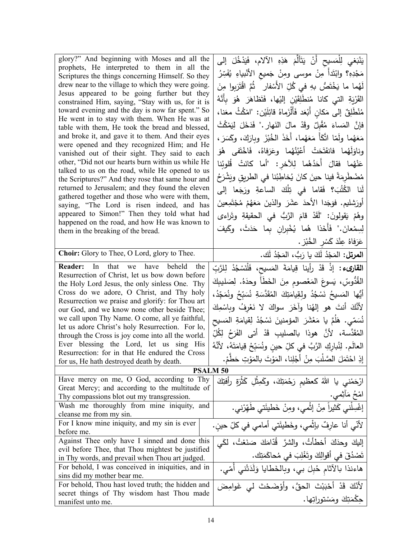| glory?" And beginning with Moses and all the<br>prophets, He interpreted to them in all the           | يَنْبَغي لِلْمَسيح أَنْ يَتَأَلَّمَ هَذِهِ الآلام، فَيَدْخُلَ إلى          |
|-------------------------------------------------------------------------------------------------------|----------------------------------------------------------------------------|
| Scriptures the things concerning Himself. So they                                                     | مَجْدِهِ؟ وابْتَدأُ مِنْ موسى ومِنْ جَميع الأَنْبياءِ يُفَسِّرُ            |
| drew near to the village to which they were going.                                                    | لَهُما ما يَخْتَصُّ بهِ في كُلِّ الأَسْفارِ ۖ ثُمَّ اقْتَرَبِوا مِنَ       |
| Jesus appeared to be going further but they                                                           | القَرْيَةِ التي كانا مُنطَلِقَيْنِ إلَيْها، فَتَظاهَرَ هُوَ بِأَنَّهُ      |
| constrained Him, saying, "Stay with us, for it is                                                     |                                                                            |
| toward evening and the day is now far spent." So                                                      | مُنْطَلِقٌ إلى مَكانٍ أَبْعَدٍ فَأَلْزَماهُ قائِلَيْن: "امْكُثْ معَنا،     |
| He went in to stay with them. When He was at                                                          | فإنَّ  المَساءَ  مُقْبِلٌ  وقَدْ  مالَ  الذَهارِ ."  فَدَخَلَ  لِيَمْكُثَ  |
| table with them, He took the bread and blessed,<br>and broke it, and gave it to them. And their eyes  |                                                                            |
| were opened and they recognized Him; and He                                                           | مَعَهُما ولَمّا اتَّكَأَ مَعَهُما، أَخَذَ الخُبْزَ وبارَكَ، وكَسَرَ،       |
| vanished out of their sight. They said to each                                                        | وناوَلَهُما فانفَتَحَتْ أَعْيُنُهُما وعَرَفاهُ، فَاخْتَفى هُوَ             |
| other, "Did not our hearts burn within us while He                                                    | عَنْهُما فقالَ أَحَدُهُما لِلآخرِ : "أما كانَتْ قُلوبُنا                   |
| talked to us on the road, while He opened to us                                                       | مُضْطَرِمَةً فينا حينَ كانَ يُخاطِبُنا في الطريق ويَشْرَحُ                 |
| the Scriptures?" And they rose that same hour and<br>returned to Jerusalem; and they found the eleven |                                                                            |
| gathered together and those who were with them,                                                       | لَنا الكُتُبَ؟ فَقاما في تِلْكَ الساعةِ ورَجَعا إلى                        |
| saying, "The Lord is risen indeed, and has                                                            | أُورَشْليم. فوَجَدا الأحدَ عشَرَ والذينَ مَعَهُمْ مُجْتَمِعينَ             |
| appeared to Simon!" Then they told what had<br>happened on the road, and how He was known to          | وهُمْ يَقولونَ: "لَقَدْ قامَ الرَّبُّ في الحقيقةِ وتَراءى                  |
| them in the breaking of the bread.                                                                    | لِسِمْعانَ." فَأَخَذا هُما يُخْبِران بِما حَدَثَ، وكَيفَ                   |
|                                                                                                       | عَرَفاهُ عِنْدَ كَسْرِ الخُبْزِ .                                          |
| Choir: Glory to Thee, O Lord, glory to Thee.                                                          | ا <b>لمرتل:</b> المَجْدُ لَكَ يا رَبُّ، المَجْدُ لَك.                      |
| <b>Reader:</b> In that we have beheld the                                                             | ا <b>لقارىء :</b> إذْ قَدْ رأينا قِيامَةَ المَسيح، فَلْنَسْجُدْ لِلرَّبِّ  |
| Resurrection of Christ, let us bow down before                                                        |                                                                            |
| the Holy Lord Jesus, the only sinless One. Thy                                                        | القُدُّوسِّ، يَسوعَ المَعْصومِ مِنَ الخَطَأَ وحدَهُ. لِصَليبِكَ            |
| Cross do we adore, O Christ, and Thy holy                                                             | أَيُّها المَسيحُ نَسْجُدُ ولقِيامَتِكَ المُقَدَّسَةِ نُسَبِّحُ ونُمَجِّدُ، |
| Resurrection we praise and glorify: for Thou art<br>our God, and we know none other beside Thee;      | لأَنَّكَ أَنتَ هو إلهُنا وآخَرَ سواكَ لا نَعْرِفُ وبِاسْمِكَ               |
| we call upon Thy Name. O come, all ye faithful,                                                       |                                                                            |
| let us adore Christ's holy Resurrection. For lo,                                                      | نُسَمّى. هَلَمَّ يا مَعْشَرَ المؤمنينَ نَسْجُدْ لِقِيامَةِ المَسيح         |
| through the Cross is joy come into all the world.                                                     | المُقَدَّسة، لأنَّ هوذا بالصليبِ قَدْ أتى الفَرَحُ لِكُلِّ                 |
| Ever blessing the Lord, let us sing His                                                               | العالَم. لِنُبارِكِ الرَّبَّ في كلِّ حينِ ونُسَبِّحْ قِيامَتَهُ، لأنَّهُ   |
| Resurrection: for in that He endured the Cross                                                        | إِذِ احْتَمَلَ الصَّلْبَ مِنْ أَجْلِنا، المَوْتَ بالمَوْتِ حَطَّمْ.        |
| for us, He hath destroyed death by death.                                                             |                                                                            |
| <b>PSALM 50</b>                                                                                       |                                                                            |
| Have mercy on me, O God, according to Thy<br>Great Mercy; and according to the multitude of           | ارْحَمْنى يا اللهُ كعظيم رَحْمَتِكَ، وكَمِثْلِ كَثْرَةٍ رأفتِكَ            |
| Thy compassions blot out my transgression.                                                            |                                                                            |
| Wash me thoroughly from mine iniquity, and                                                            | امْحُ مَأْثِمي.<br>إغْسِلْني كَثيراً مِنْ إثْمي، ومِنْ خَطيئَتي طَهِّرْني. |
| cleanse me from my sin.                                                                               |                                                                            |
| For I know mine iniquity, and my sin is ever                                                          | لأنّي أنا عارفٌ بإثْمي، وخَطيئَتي أمامي في كلِّ حين.                       |
| before me.                                                                                            |                                                                            |
| Against Thee only have I sinned and done this                                                         | إليكَ وحدَكَ أخطأتُ، والشرَّ قُدّامَكَ صَنَعْتُ، لكَي                      |
| evil before Thee, that Thou mightest be justified                                                     | تَصْدُقَ في أقوالِكَ وتَغْلِبَ في مُحاكَمَتِك.                             |
| in Thy words, and prevail when Thou art judged.                                                       |                                                                            |
| For behold, I was conceived in iniquities, and in<br>sins did my mother bear me.                      | هاءنذا بالآثام حُبِلَ بي، وبِالخَطايا وَلَدَتْني أُمّي.                    |
| For behold, Thou hast loved truth; the hidden and                                                     | لأَنّكَ قَدْ أَحْبَبْتَ الْحقَّ، وأَوْضَحْتَ ل <sub>َى</sub> غَوامِضَ      |
| secret things of Thy wisdom hast Thou made                                                            |                                                                            |
| manifest unto me.                                                                                     | حِكْمَتِكَ ومَسْتوراتِها.                                                  |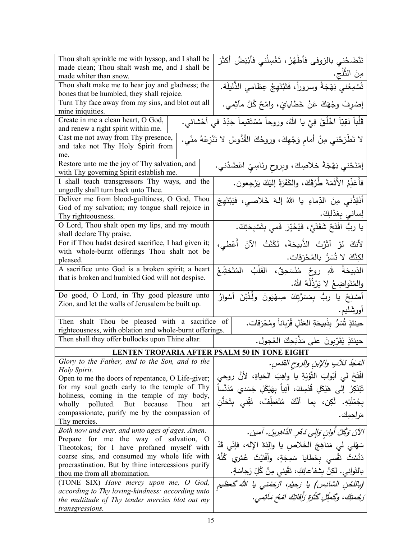| Thou shalt sprinkle me with hyssop, and I shall be                                             | تَنْضَحُني بالزوفي فأطْهُرُ ، تَغْسِلُني فأَبْيَضُ أكثَرَ                        |  |  |  |
|------------------------------------------------------------------------------------------------|----------------------------------------------------------------------------------|--|--|--|
| made clean; Thou shalt wash me, and I shall be                                                 | مِنَ الثَّلْجِ.                                                                  |  |  |  |
| made whiter than snow.                                                                         |                                                                                  |  |  |  |
| Thou shalt make me to hear joy and gladness; the<br>bones that be humbled, they shall rejoice. | .<br>تُسْمِعُني بَهْجَةً وسروراً، فَتَبْتَهِجُ عِظامي الذَّليلَة.                |  |  |  |
| Turn Thy face away from my sins, and blot out all                                              | إِصْرِفْ وِجْهَكَ عَنْ خَطَايَايَ، وَامْحُ كُلَّ مَأْثِمي.                       |  |  |  |
| mine iniquities.                                                                               |                                                                                  |  |  |  |
| Create in me a clean heart, O God,                                                             | قَلْباً نَقِيّاً اخْلُقْ فِيَّ يا اللهُ، وروحاً مُسْتَقيماً جَدِّدْ في أَحْشائي. |  |  |  |
| and renew a right spirit within me.                                                            |                                                                                  |  |  |  |
| Cast me not away from Thy presence,                                                            | لا تَطْرَحْني مِنْ أمام وَجْهِكَ، وروحُكَ القُدُّوسُ لا تَنْزِعْهُ منّي.         |  |  |  |
| and take not Thy Holy Spirit from                                                              |                                                                                  |  |  |  |
| me.                                                                                            |                                                                                  |  |  |  |
| Restore unto me the joy of Thy salvation, and                                                  | إمْنَحْني بَهْجَةَ خلاصِكَ، وبِروحِ رئاسِيِّ اعْضُدْني.                          |  |  |  |
| with Thy governing Spirit establish me.                                                        |                                                                                  |  |  |  |
| I shall teach transgressors Thy ways, and the                                                  | فأُعَلِّمُ الأَثَمَةَ طُرُقَكَ، والكَفَرَةُ إليْكَ يَرْجِعون.                    |  |  |  |
| ungodly shall turn back unto Thee.                                                             |                                                                                  |  |  |  |
| Deliver me from blood-guiltiness, O God, Thou                                                  | أَنْقِذْني مِنَ الدِّماءِ يا اللهُ إِلهَ خَلاصي، فيَبْتَهِجَ                     |  |  |  |
| God of my salvation; my tongue shall rejoice in                                                | لِساني بِعَدْلِكَ.                                                               |  |  |  |
| Thy righteousness.                                                                             |                                                                                  |  |  |  |
| O Lord, Thou shalt open my lips, and my mouth                                                  | يا ربُّ افْتَحْ شَفَتَيَّ، فَيُخَبِّرَ فَمي بِتَسْبِحَتِكَ.                      |  |  |  |
| shall declare Thy praise.                                                                      |                                                                                  |  |  |  |
| For if Thou hadst desired sacrifice, I had given it;                                           | لأَنكَ لَوْ آثَرْتَ الذَّبِيحَةَ، لَكُنْتُ الآنَ أُعْطى،                         |  |  |  |
| with whole-burnt offerings Thou shalt not be<br>pleased.                                       | لكِنَّكَ لا تُسَرُّ بالمُحْرَقات.                                                |  |  |  |
| A sacrifice unto God is a broken spirit; a heart                                               | الذبيحَةُ    للهِ    روحٌ    مُنْسَحِقٌ،     القَلْبُ    المُتَحْشِّعُ           |  |  |  |
| that is broken and humbled God will not despise.                                               |                                                                                  |  |  |  |
|                                                                                                | والمُتَواضِعُ لا يَرْذُلُهُ اللّهُ.                                              |  |  |  |
| Do good, O Lord, in Thy good pleasure unto                                                     | أَصْلِحْ يا ربُّ بِمَسَرَّتِكَ صِهْيَونَ ولْتُبْنَ أَسْوارُ                      |  |  |  |
| Zion, and let the walls of Jerusalem be built up.                                              |                                                                                  |  |  |  |
|                                                                                                | أورشَليم.                                                                        |  |  |  |
| Then shalt Thou be pleased with a sacrifice of                                                 | حينئذٍ تُسَرُّ بِذَبيحَةِ العَدْلِ قُرْباناً ومُحْرَقات.                         |  |  |  |
| righteousness, with oblation and whole-burnt offerings.                                        |                                                                                  |  |  |  |
| Then shall they offer bullocks upon Thine altar.                                               | حينئذٍ يُقَرِّبونَ على مَذْبَحِكَ العُجول.                                       |  |  |  |
| <b>LENTEN TROPARIA AFTER PSALM 50 IN TONE EIGHT</b>                                            |                                                                                  |  |  |  |
| Glory to the Father, and to the Son, and to the                                                | المَحْدُ للآبِ والإبنِ والروحِ القَدَسِ.                                         |  |  |  |
| Holy Spirit.                                                                                   |                                                                                  |  |  |  |
| Open to me the doors of repentance, O Life-giver;                                              | افْتَحْ لي أَبْوابَ التَّوْبَةِ يا واهِبَ الْحَياةِ، لأَنَّ روحي                 |  |  |  |
| for my soul goeth early to the temple of Thy                                                   | تَبْتَكِرُ ۖ إِلَى هَيْكَلِ قُدْسِكَ، آتِياً بهَيْكَلِ جَسَدى مُدَنَّساً         |  |  |  |
| holiness, coming in the temple of my body,                                                     | بِجُمْلَتِهِ. لَكِن، بِما أَنَّكَ مُتَعَطِّفٌ، نَقِّنى بِتَحَنُّن                |  |  |  |
| wholly polluted. But because<br>Thou<br>art                                                    |                                                                                  |  |  |  |
|                                                                                                |                                                                                  |  |  |  |
| compassionate, purify me by the compassion of                                                  | مَراجِمِك.                                                                       |  |  |  |
| Thy mercies.                                                                                   |                                                                                  |  |  |  |
| Both now and ever, and unto ages of ages. Amen.                                                | الآنَ وَكُلَّ أُوانٍ وَالٍى دَهْرِ الذَّاهِرِينَ. آمين.                          |  |  |  |
| Prepare for me the way of salvation, O                                                         |                                                                                  |  |  |  |
| Theotokos; for I have profaned myself with                                                     | سَهّلي لي مَناهِجَ الخَلاص يا والِدَةَ الإِله، فإنّي قَدْ                        |  |  |  |
| coarse sins, and consumed my whole life with                                                   | دَنَّسْتُ نَفْسى بِخَطايا سَمِجَةٍ، وأَفْنَيْتُ عُمْرِي كُلَّهُ                  |  |  |  |
| procrastination. But by thine intercessions purify                                             | بالتَواني. لكِنْ بِشفاعاتِكِ، نَقّيني مِنْ كُلِّ رَجاسَةٍ.                       |  |  |  |
| thou me from all abomination.                                                                  |                                                                                  |  |  |  |
| (TONE SIX) Have mercy upon me, O God,<br>according to Thy loving-kindness: according unto      | (باللحن السَّادِس) يا رَحيُم، ارْحَمْني يا الله كَعظيم                           |  |  |  |
| the multitude of Thy tender mercies blot out my                                                | رَجْمِتِكَ، وِكَمِثْلِ كَثْرَةِ رَأَفَاتِكَ امْعُ مَأْثِمِي.                     |  |  |  |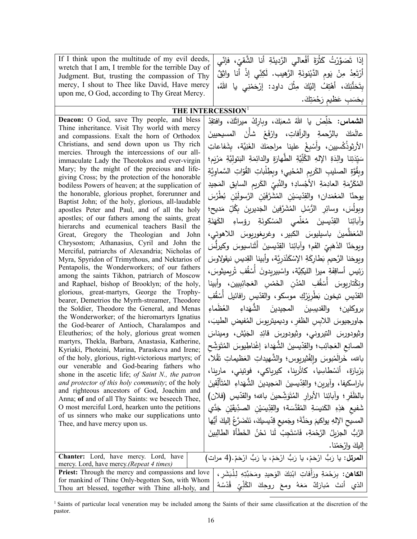| If I think upon the multitude of my evil deeds,<br>wretch that I am, I tremble for the terrible Day of<br>Judgment. But, trusting the compassion of Thy<br>mercy, I shout to Thee like David, Have mercy<br>upon me, O God, according to Thy Great Mercy. | إِذا تَصَوَّرْتُ كَثْرَةَ أَفْعالَى الرَّدِيئَةِ أَنا الشَّقيِّ، فإنِّي<br>أَرْتَعِدُ مِنْ يَومِ الدَّيْنونَةِ الرَّهيبِ. لَكِنِّي إِذْ أَنا واثِقٌ<br>بِتَحَنُّنِكَ، أَهْتِفُ إِلَيْكَ مِثْلَ داود: إِرْحَمْنِي يا اللَّهُ،<br>بِحَسَبِ عَظْيِمِ رَجْمَتِكَ. |  |  |
|-----------------------------------------------------------------------------------------------------------------------------------------------------------------------------------------------------------------------------------------------------------|---------------------------------------------------------------------------------------------------------------------------------------------------------------------------------------------------------------------------------------------------------------|--|--|
| THE INTERCESSION <sup>1</sup>                                                                                                                                                                                                                             |                                                                                                                                                                                                                                                               |  |  |
|                                                                                                                                                                                                                                                           |                                                                                                                                                                                                                                                               |  |  |
| <b>Deacon:</b> O God, save Thy people, and bless                                                                                                                                                                                                          | ا <b>لشماس:</b> خَلِّصْ يا اللهُ شعبَكَ، وباركْ ميراثَكَ، وافتقِدْ                                                                                                                                                                                            |  |  |
| Thine inheritance. Visit Thy world with mercy                                                                                                                                                                                                             |                                                                                                                                                                                                                                                               |  |  |
| and compassions. Exalt the horn of Orthodox                                                                                                                                                                                                               | عالَمَكَ بالرَّحمةِ والرأفاتِ، وارْفَعْ شأنَ المسيحيينَ                                                                                                                                                                                                       |  |  |
| Christians, and send down upon us Thy rich                                                                                                                                                                                                                | الأرثوذُكْسيين، وأَسْبغْ علينا مراحِمَكَ الغَنِيَّة، بشَفاعاتِ                                                                                                                                                                                                |  |  |
| mercies. Through the intercessions of our all-                                                                                                                                                                                                            | سَيّدَتِنا والِدَةِ الإِلهِ الطُّلِّيّةِ الطُّهارَةِ والدائِمَةِ البَتوليَّةِ مَرْيَمٍ؛                                                                                                                                                                       |  |  |
| immaculate Lady the Theotokos and ever-virgin                                                                                                                                                                                                             |                                                                                                                                                                                                                                                               |  |  |
| Mary; by the might of the precious and life-<br>giving Cross; by the protection of the honorable                                                                                                                                                          | وبِقُوَّةِ الصليبِ الكَريمِ المُحْييِ؛ وبطِلْباتِ القُوّاتِ السَّماوِيَّةِ                                                                                                                                                                                    |  |  |
|                                                                                                                                                                                                                                                           |                                                                                                                                                                                                                                                               |  |  |

bodiless Powers of heaven; at the supplication of the honorable, glorious prophet, forerunner and Baptist John; of the holy, glorious, all-laudable apostles Peter and Paul, and of all the holy apostles; of our fathers among the saints, great hierarchs and ecumenical teachers Basil the Great, Gregory the Theologian and John Chrysostom; Athanasius, Cyril and John the Merciful, patriarchs of Alexandria; Nicholas of Myra, Spyridon of Trimythous, and Nektarios of Pentapolis, the Wonderworkers; of our fathers among the saints Tikhon, patriarch of Moscow and Raphael, bishop of Brooklyn; of the holy, glorious, great-martyrs, George the Trophybearer, Demetrios the Myrrh-streamer, Theodore the Soldier, Theodore the General, and Menas the Wonderworker; of the hieromartyrs Ignatius the God-bearer of Antioch, Charalampos and Eleutherios; of the holy, glorious great women martyrs, Thekla, Barbara, Anastasia, Katherine, Kyriaki, Photeini, Marina, Paraskeva and Irene; of the holy, glorious, right-victorious martyrs; of our venerable and God-bearing fathers who shone in the ascetic life; *of Saint N., the patron and protector of this holy community*; of the holy and righteous ancestors of God, Joachim and Anna; **of** and of all Thy Saints: we beseech Thee, O most merciful Lord, hearken unto the petitions of us sinners who make our supplications unto Thee, and have mercy upon us.

ِ َجید َ ِر�م ِ الساب ِق الم ِ الك ِّ : والنَّبيِّ<br>مستد اد ؛ ِ الأج ة ً<br>ً ِم ِ العاد َة ََّرم ى<br>ئ الم ِن ْ فن<br>فیل ىُشَرَّفَ<sub>ِ</sub> بِّدِّيسَيْنِ المُ **ّ** ً<br>ً َدان؛ والق ْم َع يوحنّا المَعْمَدان؛ والقِدّيمَيْنِ المُشَرَّفَيْنِ الرَّسولَيْنِ<br>. عوالش الرَّسوليْنِ بُطْرُسَ<br>م َدَيح؛<br>ِ َ بِكُلِّ مَ<sub>ّ</sub> <sup>ِ</sup><br>جَدیرینَ َ الج ُ َشَّرفین المُنْ ً<br>ِ بِٔرِ الرُّسُا لِسَ، وسائ<sub>ِ</sub> وبول ä نَةِ ن َ ے<br>کھا ِ الك ِ رؤساء َة ْكون ِ<br>نَسْ لمي الم َّ ر<br>گ .<br>.<br>. ئِنا القِدّيسينَ<br>ِ وأبائِ الكبير ، باسیلیوس َ ِ ب<sub>اسيليوس</sub>ِ<br>ِ َّظمین َ ر<br>گ الم َ أَثْنَاسيوسَ وكيرل<sub>ُ</sub><br>َ ّ�سین ويوحَنّا الذَهَبِيِّ الفَم؛ وآبائِنا القِدّيسينَ أَثَناسيوسَ وكيرلُّسَ ١ ِ<br>بِيِّ ا<br>کا ّ َ ا الذه ن َ ُّ نيقولاوس دَرِيَّة، وأبينا القِديسِ َ ِّطَارِكَةِ الإِسْكَنْدَ<br>ّ <sub>َ</sub> نا الرَّحيمِ بَا ويوحَا ر�میثوس، َرْيِمِيتُوسَ ُ ِف ت <u>مُقُ</u>ّ َ أُس ةِ ميرا الليكِيَّة، واسْبيريدونَ<br>مُ َة ِف رَئيسِ أساقِ<br>م رَدُ ِِبیین، وأبینا َجائ <sup>نْسِ</sup> العَـ <u>َ</u><br>فَمُا قُفِ المُدُنِ الخَـ<br>ء <u>مُقُ</u>ّ تاريوسَ أَسْأَ ونِكْتاريومرَ ِك موس .<br>أ ؘڔڒٳ **َطِرِيَ** دِّيسِ تيخون بَ القدّيسِ تيخون بَطْرِيَرْكِ موسكو ، والقدّيسِ رافائيل أَسْقُفِ ْ مُقَّا<br>-رافائیل كو، والقد ءِ العُظَماءِ َداء نَ الشَّهَا نَ المجیدینَ و القد ، َ ُنفيضِ ا<mark>لط</mark>يبَ جاورجيوسَ اللابِسِ الظفرِ ، وديميتريوسَ المُ*'* یش، ومیناس<br>-� َ ِ الج ِد وثیودورسَ النیروني، وثیودورسَ قائِ َ َ ُ<br>ُ یوس المُا <sub>يَ</sub>داءَ إغْناطِيومَرَ<br>ٿ الث الصانِعِ العَجائِب؛ والقِدّيسينَ الشُّهَداءَ إغْناطِيوسَ المُتَوَشِّحِ َو بَ<br>تأ ْلا، َق العَظَّ بالله، خَرالَمْبوسَ وإلِفْثيربِوس؛ والشَّهيداتِ العَ بَرْبارَة، أنَسْطاسِيا، كاثْرينا، كيرياكي، فوتيني، مارينا، َ ِقین َ ّأَل ت ُ ِ الم َداء َ ُّ الشه باراسكيفا، وآيرين؛ والقِدّيسينَ المَجيدينَ<br>پَر بالظَفَرِ؛ وأبائِنا الأبرارِ الْمُتَوَشِّحينَ بالله وآبائِنا الأبرارِ المُتَوَشِّحينَ بالله؛ والقدّيسِ (فلان) شَفيعِ هَذِهِ الكَنيسَةِ المُقَدَّسَة؛ والقِدِّيسَيْنِ الصدِّيقَيْنِ جَدَّي<br>. ْ **ّ** َّن َة؛ َ َ وح َ ِ المس�ح الإله ُّ أیها ِ یواك�م ُ إل�ك َ َضَّرع ت َ ،َ ن ّ�س�ك ِد َ ِم�ع ق وج الرَّبُّ الجزيلُ الرَّحْمَةِ، فَاسْتَجِبْ لَنا نَحْنُ الخَطَأَةَ الطالِبينَ ْنا. َم ْح َ وار إل�ك

| <b>Chanter:</b> Lord, have mercy. Lord, have<br>mercy. Lord, have mercy. (Repeat 4 times)                                                                                                                                                  | ا <b>لمرتل:</b> يا رَبُّ ارْحَمْ، يا رَبُّ ارْحَمْ، يا رَبُّ ارْحَمْ.(4 مرات) |  |  |  |  |
|--------------------------------------------------------------------------------------------------------------------------------------------------------------------------------------------------------------------------------------------|-------------------------------------------------------------------------------|--|--|--|--|
| الكاهن: بِرَحْمَةِ ورَأَفاتِ ابْنِكَ الوَحيدِ ومَحَبَّتِهِ لِلْبَشَرِ ،   Priest: Through the mercy and compassions and love<br>for mankind of Thine Only-begotten Son, with Whom  <br>Thou art blessed, together with Thine all-holy, and | الذي أنتَ مُبارَكٌ مَعَهُ ومعَ روحِكَ الكُلِّيِّ قُدْسُهُ                     |  |  |  |  |

<span id="page-15-0"></span> 1 Saints of particular local veneration may be included among the Saints of their same classification at the discretion of the pastor.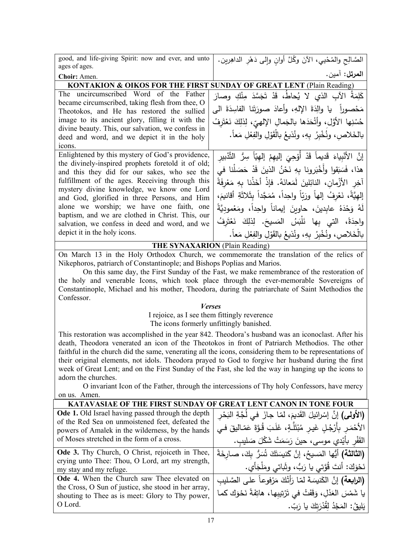| ا <b>لمرتل:</b> آمين.<br>Choir: Amen.<br><b>SUNDAY OF GREAT LENT (Plain Reading)</b><br><b>KONTAKION &amp; OIKOS FOR THE FIRST</b><br>The uncircumscribed Word of the Father<br>كَلِمَةُ الآبِ الذي لا يُحاطُ، قَدْ تَجَسَّدَ مِنْكِ وصارَ<br>became circumscribed, taking flesh from thee, O<br>مَحْصوراً   يا  والِدَةَ  الإلهِ،  وأعادَ  صورَتَنا  الفاسِدَةَ  الي<br>Theotokos, and He has restored the sullied<br>image to its ancient glory, filling it with the<br>حُسْنِها الأوَّل، وأتْحَدَها بالجَمالِ الإِلهيِّ، لِذلِكَ نَعْتَرِفُ<br>divine beauty. This, our salvation, we confess in<br>بالخَلاص، ونُخْبِرُ بهِ، ونُذيعُ بِالْقَوْلِ والفِعْلِ مَعاً.<br>deed and word, and we depict it in the holy<br>icons.<br>Enlightened by this mystery of God's providence,<br>إِنَّ الأَنْبِياءَ قَديماً قَدْ أَوْحِيَ إِليهِمْ إِلهِيّاً سِرُّ التَّدْبيرِ<br>the divinely-inspired prophets foretold it of old;<br>هذا، فَسَبَقوا وأَخْبَرونا بهِ نَحْنُ الذينَ قَدْ حَصَلْنا في<br>and this they did for our sakes, who see the<br>fulfillment of the ages. Receiving through this<br>آخِرِ الأَزْمانِ، النائِلينَ لَمَعانَهُ. فإِذْ أَخَذْنا بِهِ مَعْرِفَةً<br>mystery divine knowledge, we know one Lord<br>إِلهيَّةَ، نَعْرِفُ إِلهاً ورَبّاً واحِداً، مُمَجَّداً بِثَلاثَةِ أقانيمَ،<br>and God, glorified in three Persons, and Him<br>alone we worship; we have one faith, one<br>لَهُ وَحْدَهُ عابدينَ، حاوبنَ إيماناً واحِداً، ومَعْموديَّةً<br>baptism, and we are clothed in Christ. This, our<br>واحِدَةً، التي بِها نَلْبَسُ المَسيحَ. لِذلِكَ نَعْتَرِفُ<br>salvation, we confess in deed and word, and we<br>depict it in the holy icons.<br>بالْخَلاص، ونُخْبِرُ بِهِ، ونُذيعُ بالقَوْلِ والفِعْلِ مَعاً.<br><b>THE SYNAXARION</b> (Plain Reading) | good, and life-giving Spirit: now and ever, and unto<br>ages of ages. | الصَّالِحِ والمُحْييِ، الآنَ وكُلَّ أوانِ وإلى دَهْرِ الداهِرِينِ. |  |  |
|------------------------------------------------------------------------------------------------------------------------------------------------------------------------------------------------------------------------------------------------------------------------------------------------------------------------------------------------------------------------------------------------------------------------------------------------------------------------------------------------------------------------------------------------------------------------------------------------------------------------------------------------------------------------------------------------------------------------------------------------------------------------------------------------------------------------------------------------------------------------------------------------------------------------------------------------------------------------------------------------------------------------------------------------------------------------------------------------------------------------------------------------------------------------------------------------------------------------------------------------------------------------------------------------------------------------------------------------------------------------------------------------------------------------------------------------------------------------------------------------------------------------------------------------------------------------------------------------------------------------------------------------------------------------------------------------------------------------------------------------------------------------------|-----------------------------------------------------------------------|--------------------------------------------------------------------|--|--|
|                                                                                                                                                                                                                                                                                                                                                                                                                                                                                                                                                                                                                                                                                                                                                                                                                                                                                                                                                                                                                                                                                                                                                                                                                                                                                                                                                                                                                                                                                                                                                                                                                                                                                                                                                                              |                                                                       |                                                                    |  |  |
|                                                                                                                                                                                                                                                                                                                                                                                                                                                                                                                                                                                                                                                                                                                                                                                                                                                                                                                                                                                                                                                                                                                                                                                                                                                                                                                                                                                                                                                                                                                                                                                                                                                                                                                                                                              |                                                                       |                                                                    |  |  |
|                                                                                                                                                                                                                                                                                                                                                                                                                                                                                                                                                                                                                                                                                                                                                                                                                                                                                                                                                                                                                                                                                                                                                                                                                                                                                                                                                                                                                                                                                                                                                                                                                                                                                                                                                                              |                                                                       |                                                                    |  |  |
|                                                                                                                                                                                                                                                                                                                                                                                                                                                                                                                                                                                                                                                                                                                                                                                                                                                                                                                                                                                                                                                                                                                                                                                                                                                                                                                                                                                                                                                                                                                                                                                                                                                                                                                                                                              |                                                                       |                                                                    |  |  |
|                                                                                                                                                                                                                                                                                                                                                                                                                                                                                                                                                                                                                                                                                                                                                                                                                                                                                                                                                                                                                                                                                                                                                                                                                                                                                                                                                                                                                                                                                                                                                                                                                                                                                                                                                                              |                                                                       |                                                                    |  |  |
|                                                                                                                                                                                                                                                                                                                                                                                                                                                                                                                                                                                                                                                                                                                                                                                                                                                                                                                                                                                                                                                                                                                                                                                                                                                                                                                                                                                                                                                                                                                                                                                                                                                                                                                                                                              |                                                                       |                                                                    |  |  |
|                                                                                                                                                                                                                                                                                                                                                                                                                                                                                                                                                                                                                                                                                                                                                                                                                                                                                                                                                                                                                                                                                                                                                                                                                                                                                                                                                                                                                                                                                                                                                                                                                                                                                                                                                                              |                                                                       |                                                                    |  |  |
|                                                                                                                                                                                                                                                                                                                                                                                                                                                                                                                                                                                                                                                                                                                                                                                                                                                                                                                                                                                                                                                                                                                                                                                                                                                                                                                                                                                                                                                                                                                                                                                                                                                                                                                                                                              |                                                                       |                                                                    |  |  |
|                                                                                                                                                                                                                                                                                                                                                                                                                                                                                                                                                                                                                                                                                                                                                                                                                                                                                                                                                                                                                                                                                                                                                                                                                                                                                                                                                                                                                                                                                                                                                                                                                                                                                                                                                                              |                                                                       |                                                                    |  |  |
|                                                                                                                                                                                                                                                                                                                                                                                                                                                                                                                                                                                                                                                                                                                                                                                                                                                                                                                                                                                                                                                                                                                                                                                                                                                                                                                                                                                                                                                                                                                                                                                                                                                                                                                                                                              |                                                                       |                                                                    |  |  |
|                                                                                                                                                                                                                                                                                                                                                                                                                                                                                                                                                                                                                                                                                                                                                                                                                                                                                                                                                                                                                                                                                                                                                                                                                                                                                                                                                                                                                                                                                                                                                                                                                                                                                                                                                                              |                                                                       |                                                                    |  |  |
|                                                                                                                                                                                                                                                                                                                                                                                                                                                                                                                                                                                                                                                                                                                                                                                                                                                                                                                                                                                                                                                                                                                                                                                                                                                                                                                                                                                                                                                                                                                                                                                                                                                                                                                                                                              |                                                                       |                                                                    |  |  |
|                                                                                                                                                                                                                                                                                                                                                                                                                                                                                                                                                                                                                                                                                                                                                                                                                                                                                                                                                                                                                                                                                                                                                                                                                                                                                                                                                                                                                                                                                                                                                                                                                                                                                                                                                                              |                                                                       |                                                                    |  |  |
|                                                                                                                                                                                                                                                                                                                                                                                                                                                                                                                                                                                                                                                                                                                                                                                                                                                                                                                                                                                                                                                                                                                                                                                                                                                                                                                                                                                                                                                                                                                                                                                                                                                                                                                                                                              |                                                                       |                                                                    |  |  |
|                                                                                                                                                                                                                                                                                                                                                                                                                                                                                                                                                                                                                                                                                                                                                                                                                                                                                                                                                                                                                                                                                                                                                                                                                                                                                                                                                                                                                                                                                                                                                                                                                                                                                                                                                                              |                                                                       |                                                                    |  |  |
|                                                                                                                                                                                                                                                                                                                                                                                                                                                                                                                                                                                                                                                                                                                                                                                                                                                                                                                                                                                                                                                                                                                                                                                                                                                                                                                                                                                                                                                                                                                                                                                                                                                                                                                                                                              |                                                                       |                                                                    |  |  |
|                                                                                                                                                                                                                                                                                                                                                                                                                                                                                                                                                                                                                                                                                                                                                                                                                                                                                                                                                                                                                                                                                                                                                                                                                                                                                                                                                                                                                                                                                                                                                                                                                                                                                                                                                                              |                                                                       |                                                                    |  |  |
|                                                                                                                                                                                                                                                                                                                                                                                                                                                                                                                                                                                                                                                                                                                                                                                                                                                                                                                                                                                                                                                                                                                                                                                                                                                                                                                                                                                                                                                                                                                                                                                                                                                                                                                                                                              |                                                                       |                                                                    |  |  |
|                                                                                                                                                                                                                                                                                                                                                                                                                                                                                                                                                                                                                                                                                                                                                                                                                                                                                                                                                                                                                                                                                                                                                                                                                                                                                                                                                                                                                                                                                                                                                                                                                                                                                                                                                                              |                                                                       |                                                                    |  |  |

On March 13 in the Holy Orthodox Church, we commemorate the translation of the relics of Nikephoros, patriarch of Constantinople; and Bishops Poplias and Marios.

On this same day, the First Sunday of the Fast, we make remembrance of the restoration of the holy and venerable Icons, which took place through the ever-memorable Sovereigns of Constantinople, Michael and his mother, Theodora, during the patriarchate of Saint Methodios the Confessor.

## *Verses*

I rejoice, as I see them fittingly reverence The icons formerly unfittingly banished.

This restoration was accomplished in the year 842. Theodora's husband was an iconoclast. After his death, Theodora venerated an icon of the Theotokos in front of Patriarch Methodios. The other faithful in the church did the same, venerating all the icons, considering them to be representations of their original elements, not idols. Theodora prayed to God to forgive her husband during the first week of Great Lent; and on the First Sunday of the Fast, she led the way in hanging up the icons to adorn the churches.

O invariant Icon of the Father, through the intercessions of Thy holy Confessors, have mercy on us. Amen.

| <b>KATAVASIAE OF THE FIRST S</b>                         |                                                                          |
|----------------------------------------------------------|--------------------------------------------------------------------------|
| <b>Ode 1.</b> Old Israel having passed through the depth | (الأولى) إنَّ إسْرائيلَ القَديمَ، لمّا جازَ في لُجَّةِ البَحْر           |
| of the Red Sea on unmoistened feet, defeated the         |                                                                          |
| powers of Amalek in the wilderness, by the hands         | الأَحْمَرِ بِأَرْجُلِ غَيرِ مُبْتَلَّةٍ، غَلَبَ قُوَّةَ عَمّاليقَ في     |
| of Moses stretched in the form of a cross.               | القَفْرِ بِأَيْدِي موسى، حينَ رَسَمَتْ شَكْلَ صَليبٍ.                    |
| Ode 3. Thy Church, O Christ, rejoiceth in Thee,          | (ا <b>لثالثة)</b> أيُّها المَسيحُ، إنَّ كَنيسَتَكَ تُسَرُّ بكَ، صـارخَةً |
| crying unto Thee: Thou, O Lord, art my strength,         |                                                                          |
| my stay and my refuge.                                   | نَحْوَكَ: أَنتَ قُوَّتِي يا رَبُّ، وثَباتي ومَلْجَأيِ.                   |
| Ode 4. When the Church saw Thee elevated on              | (ا <b>لرابعة)</b> إنَّ الكَنيسَةَ لمّا رَأتْكَ مَرْفوعاً على الصَّليب    |
| the Cross, O Sun of justice, she stood in her array,     | يا شَمْسَ العَدْلِ، وَقَفَتْ في تَرْتيبها، هاتِفَةً نَحْوَك كما          |
| shouting to Thee as is meet: Glory to Thy power,         |                                                                          |
| O Lord.                                                  | يَليقُ: المَجْدُ لِقُدْرَتِكَ يا رَبّ.                                   |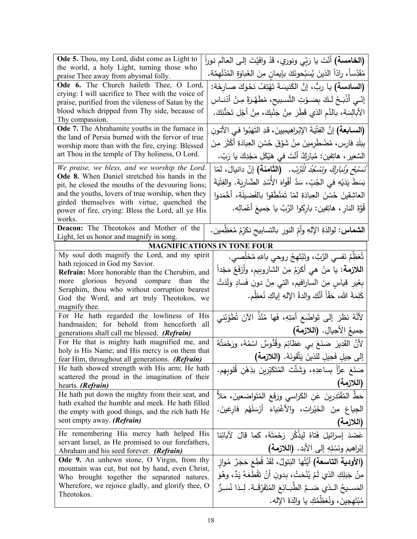| Ode 5. Thou, my Lord, didst come as Light to<br>the world, a holy Light, turning those who           | <b>(الخامسة)</b> أَنْتَ يا رَبِّي ونوري، قَدْ وافَيْتَ إلى العالَم نوراً                      |
|------------------------------------------------------------------------------------------------------|-----------------------------------------------------------------------------------------------|
| praise Thee away from abysmal folly.                                                                 | مُقَدِّساً، رادّاً الذينَ يُسَبِّحونَكَ بإيمانٍ مِنَ الغَباوَةِ المُدْلَهِمَّة.               |
| Ode 6. The Church haileth Thee, O Lord,                                                              | (ال <b>سادسة)</b> يا ربُّ، إنَّ الكَنيسَةَ تَهْتِفُ نَحْوَكَ صـارخَة:                         |
| crying: I will sacrifice to Thee with the voice of                                                   | إِنِّـي أَذْبَـحُ لَـكَ بِصَـوْتِ التَّسبيحِ، مُطَهَّرَةً مِـنْ أَدْنــاسِ                    |
| praise, purified from the vileness of Satan by the                                                   |                                                                                               |
| blood which dripped from Thy side, because of<br>Thy compassion.                                     | الأبالِسَة، بالدَّم الذي قَطَّرَ مِنْ جَنْبِكَ، مِنْ أَجْلِ تَحَنُّنِكَ.                      |
| Ode 7. The Abrahamite youths in the furnace in                                                       | (ا <b>لسـابعة)</b> إنَّ الفِتْيَةَ الإِبْراهِيمِيينَ، قَدِ التَهَبُوا فـى الأتونِ             |
| the land of Persia burned with the fervor of true                                                    |                                                                                               |
| worship more than with the fire, crying: Blessed                                                     | بِبَلَدِ فارس، مُضْطَرِمينَ مِنْ شَوْقِ حُسْنِ الْعِبادَةِ أَكْثَرَ مِنَ                      |
| art Thou in the temple of Thy holiness, O Lord.                                                      | السَّعير ، هاتِفين: مُبارَكٌ أنْتَ في هَيْكَلِ مَجْدِكَ يا رَبّ.                              |
| We praise, we bless, and we worship the Lord.                                                        | ُنَ <i>مَنَّبِحُ وَنُناٖرِكُ وَنَسْكُدُ لَلِّرَّبَ.</i> (ا <b>لثامنة)</b> إنَّ دانيالَ، لمَّا |
| Ode 8. When Daniel stretched his hands in the                                                        | بَسَطَ يَدَيْهِ في الجُبِّ، سَدَّ أَفْواهَ الأَسُدِ الضَّارِيَة. والفِتْيَةَ                  |
| pit, he closed the mouths of the devouring lions;                                                    |                                                                                               |
| and the youths, lovers of true worship, when they<br>girded themselves with virtue, quenched the     | العاشِقينَ حُسْنَ العِبادَةِ لمّا تَمَنْطَقوا بالفَضيلَةِ، أَخْمَدوا                          |
| power of fire, crying: Bless the Lord, all ye His                                                    | قَوَّةَ النارِ ، هاتِفين: بارِكوا الرَّبَّ يا جَميعَ أعْمالِه.                                |
| works.                                                                                               |                                                                                               |
| Deacon: The Theotokos and Mother of the                                                              | ا <b>لشماس:</b> لوالدَةِ الإلهِ وأمِّ النورِ بالتسابيحِ نكرِّمُ مُعَظِمين.                    |
| Light, let us honor and magnify in song.                                                             | <b>MAGNIFICATIONS IN TONE FOUR</b>                                                            |
| My soul doth magnify the Lord, and my spirit                                                         |                                                                                               |
| hath rejoiced in God my Savior.                                                                      | تُعَظِّمُ نَفسي الرَّبَّ، وتَبْتَهِجُ روحي باللهِ مُخَلِّصي.                                  |
| <b>Refrain:</b> More honorable than the Cherubim, and                                                | ا <b>للازمة:</b> يا مَنْ هي أكرَمُ مِنَ الشاروبِيم، وأَرْفَعُ مَجْداً                         |
| more glorious beyond compare than<br>the                                                             | بِغَيرِ قِياسٍ مِنَ السارافيم، التي مِنْ دونِ فَسادٍ وَلَدَتْ                                 |
| Seraphim, thou who without corruption bearest                                                        | كَلِمَةَ الله، حَقّاً أَنَّكِ والدةُ اﻹلهِ إياكِ نُعظِّم.                                     |
| God the Word, and art truly Theotokos, we                                                            |                                                                                               |
| magnify thee.<br>For He hath regarded the lowliness of His                                           |                                                                                               |
| handmaiden; for behold from henceforth all                                                           | لأَنَّهُ نَظَرَ إلى تَواضُعِ أَمَتِهِ، فَها مُنْذُ الآنَ تُطَوِّبُني                          |
| generations shall call me blessed. (Refrain)                                                         | جميعُ الأجيالِ. (اللازمة)                                                                     |
| For He that is mighty hath magnified me, and                                                         | لأنَّ القَديرَ  صَنَعَ بي عَظائِمَ وقُدُّوسٌ  اسْمُهُ، ورَحْمَتُهُ                            |
| holy is His Name; and His mercy is on them that<br>fear Him, throughout all generations. (Refrain)   | إلى جيلٍ فَجيلٍ للذينَ يَتَّقونَهُ. (اللازمة)                                                 |
| He hath showed strength with His arm; He hath                                                        | صَنَعَ عِزّاً بِساعِدِهِ، وَشَتَّتَ المُتَكَبِّرِينَ بذِهْنِ قُلوبِهِم.                       |
| scattered the proud in the imagination of their                                                      |                                                                                               |
| hearts. (Refrain)                                                                                    | (اللازمة)                                                                                     |
| He hath put down the mighty from their seat, and<br>hath exalted the humble and meek. He hath filled | حَطَّ المُقْتَدِرِينَ عَنِ الكَراسي ورَفَعَ المُتَواضعينَ، مَلأ                               |
| the empty with good things, and the rich hath He                                                     | الجياعَ مِنَ الخَيْراتِ، والأغْنِياءَ أَرْسَلَهُم فارغينَ.                                    |
| sent empty away. (Refrain)                                                                           | (اللازمة)                                                                                     |
| He remembering His mercy hath helped His                                                             | عَضَدَ إسرائيلَ فَتاهُ لِيذْكُرَ رَحْمَتَهُ، كما قالَ لآبائِنا                                |
| servant Israel, as He promised to our forefathers,                                                   |                                                                                               |
| Abraham and his seed forever. (Refrain)                                                              | إبْراهيمَ ونَسْلِهِ إلى الأبد. (اللازمة)                                                      |
| Ode 9. An unhewn stone, O Virgin, from thy                                                           | (ا <b>لأودية التاسعة)</b> أَيَّتُها البَتولُ، لَقَدْ قُطِعَ حَجَرٌ مُواز                      |
| mountain was cut, but not by hand, even Christ,<br>Who brought together the separated natures.       | مِنْ جَبَلِكِ الذي لَمْ يُنْحَتْ، بِدونِ أَنْ تَقْطَعَهُ يَدٌ، وهُوَ                          |
| Wherefore, we rejoice gladly, and glorify thee, O                                                    | المَسـيحُ الـذي ضَـمَّ الطّبـائِعَ المُتَفَرِّقَــة. لِــذا نُسَـرٌ                           |
| Theotokos.                                                                                           | مُبْتَهجينَ، ونُعَظِّمُكِ يا والِدَةَ الإِله.                                                 |
|                                                                                                      |                                                                                               |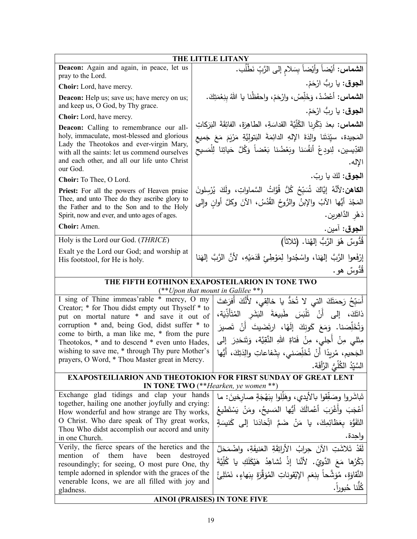| THE LITTLE LITANY                                                                                 |                                                                                                                 |  |
|---------------------------------------------------------------------------------------------------|-----------------------------------------------------------------------------------------------------------------|--|
| Deacon: Again and again, in peace, let us<br>pray to the Lord.                                    | ال <b>شماس:</b> أيْضاً وأيْضاً بِسَلامِ إلى الرَّبِّ نَطْلُب.                                                   |  |
| Choir: Lord, have mercy.                                                                          | ا <b>لجوق</b> : يا ربُّ ارْحَمْ.                                                                                |  |
| <b>Deacon:</b> Help us; save us; have mercy on us;<br>and keep us, O God, by Thy grace.           | ا <b>لشماس</b> : أعْضُدْ، وَخَلِّصْ، وارْحَمْ، واحفَظْنا يا اللهُ بِنِعْمَتِكَ.                                 |  |
| Choir: Lord, have mercy.                                                                          | ا <b>لجوق</b> : يا ربُّ ارْحَمْ.                                                                                |  |
| Deacon: Calling to remembrance our all-                                                           | ا <b>لشماس:</b> بعدَ ذِكْرِنا الكُلِّيَّةَ القداسَةِ، الطاهِرَةَ، الفائِقَةَ البَرَكاتِ                         |  |
| holy, immaculate, most-blessed and glorious                                                       | المَجيدة، سيِّدَتَنا والِدَةَ اﻹلهِ الدائِمَةَ البَتولِيَّةِ مَرْيَمَ مَعَ جَميع                                |  |
| Lady the Theotokos and ever-virgin Mary,<br>with all the saints: let us commend ourselves         | القدِّيسين، لِنودِعْ أَنفُسَنا وبَعْضُنا بَعْضاً وَكُلَّ حَياتِنا لِلْمَسيح                                     |  |
| and each other, and all our life unto Christ<br>our God.                                          | الإله.                                                                                                          |  |
| Choir: To Thee, O Lord.                                                                           | ا <b>لجوق:</b> لكَ يا ربّ.                                                                                      |  |
| Priest: For all the powers of Heaven praise                                                       | ا <b>لكاهن:</b> لأَنَّهُ إِيَّاكَ شُبَبِّحُ كُلُّ قُوَّاتُ السَّماواتِ، ولَكَ يُرْسِلونَ                        |  |
| Thee, and unto Thee do they ascribe glory to<br>the Father and to the Son and to the Holy         | المَجْدَ أَيُّها الآبُ والإبنُ والرُّوحُ القُدُسُ، الآنَ وكلَّ أوانِ وإلى                                       |  |
| Spirit, now and ever, and unto ages of ages.                                                      | دَهْرِ الدَّاهِرِينِ.                                                                                           |  |
| Choir: Amen.                                                                                      | ا <b>لجوق</b> : آمين.                                                                                           |  |
| Holy is the Lord our God. (THRICE)                                                                | قُدُّوسٌ هُوَ الرَّبُّ إِلهُنا. (ثلاثاً)                                                                        |  |
| Exalt ye the Lord our God; and worship at                                                         | إِرْفَعوا الرَّبَّ إِلهَنا، واسْجُدوا لِمَوْطِئٍ قَدَمَيْهِ، لأَنَّ الرَّبَّ إِلهَنا                            |  |
| His footstool, for He is holy.                                                                    |                                                                                                                 |  |
|                                                                                                   | قَدَّوسٌ هو.<br>THE FIFTH EOTHINON EXAPOSTEILARION IN TONE TWO                                                  |  |
|                                                                                                   | $(**Upon$ that mount in Galilee **)                                                                             |  |
| I sing of Thine immeas'rable * mercy, O my                                                        | أَسَبِّحُ رَحِمَتَكَ الَّتِي لا تُحَدُّ يا خالِقِي، لأَنَّكَ أَفرَغتَ                                           |  |
| Creator; * for Thou didst empty out Thyself * to<br>put on mortal nature * and save it out of     | ذاتَكَ، إلى أَنْ تَلْبَسَ طَبِيعَةَ البَشَرِ المُتَأَذِّيَة،                                                    |  |
| corruption * and, being God, didst suffer * to                                                    | وَتُخَلِّصَنا. وَمَعَ كَونِكَ إِلَهًا، ارتَضَيتَ أَنْ تَصيرَ                                                    |  |
| come to birth, a man like me, * from the pure                                                     | مِثْلَى مِنْ أَجِلَى، مِنْ فَتاةِ اللهِ النَّقِيَّة، وَتَنحَدِرَ ۖ إِلَى                                        |  |
| Theotokos, * and to descend * even unto Hades,<br>wishing to save me, * through Thy pure Mother's |                                                                                                                 |  |
| prayers, O Word, * Thou Master great in Mercy.                                                    | الجَحيم، مُرِيدًا أَنْ تُخَلِّصَني، بِشَفاعاتِ والِدَتِكَ، أَيُّها                                              |  |
|                                                                                                   | السَّيِّدُ الكُلِّيُّ الرَّأَفَة.                                                                               |  |
|                                                                                                   | <b>EXAPOSTEILIARION AND THEOTOKION FOR FIRST SUNDAY OF GREAT LENT</b><br>IN TONE TWO $(**Hearken, ye women **)$ |  |
| Exchange glad tidings and clap your hands                                                         | تَباشَروا وصَفِّقوا بالأيدي، وهَلِلوا بِبَهْجَةٍ صارخينَ: ما                                                    |  |
| together, hailing one another joyfully and crying:                                                | أَعْجَبَ وأَغْرَبَ أَعْمالَكَ أَيُّها المَسيحُ، ومَنْ يَسْتَطيعُ                                                |  |
| How wonderful and how strange are Thy works,<br>O Christ. Who dare speak of Thy great works,      |                                                                                                                 |  |
| Thou Who didst accomplish our accord and unity                                                    | النَّقَوُّهَ بِعَظَائِمِكَ، يا مَنْ ضَمَّ اتِّحَادَنا إلى كَنيسَةٍ                                              |  |
| in one Church.                                                                                    | واجدة.                                                                                                          |  |
| Verily, the fierce spears of the heretics and the                                                 | لَقَدْ تَلاشَتِ الآنَ حِرابُ الأَراتِقَةِ العَنيفَةِ، واضْمَحَلَّ                                               |  |
| them<br>have been<br>mention<br>of<br>resoundingly; for seeing, O most pure One, thy              | destroyed<br>ذِكْرُها مَعَ الدَّويِّ. لأَنَّنا إذْ نُشاهِدُ هَيْكَلَكِ يا كُلِّيَّةَ                            |  |
| temple adorned in splendor with the graces of the                                                 | النَّقاوَةِ، مُوَشَّحاً بِنِعَمِ الإِيْقوناتِ المُوَقِّرَةِ بِبَهاءٍ، نَمْتَلِئُ                                |  |
| venerable Icons, we are all filled with joy and                                                   | كُلّنا حُبوراً.                                                                                                 |  |
| gladness.                                                                                         | <b>AINOI (PRAISES) IN TONE FIVE</b>                                                                             |  |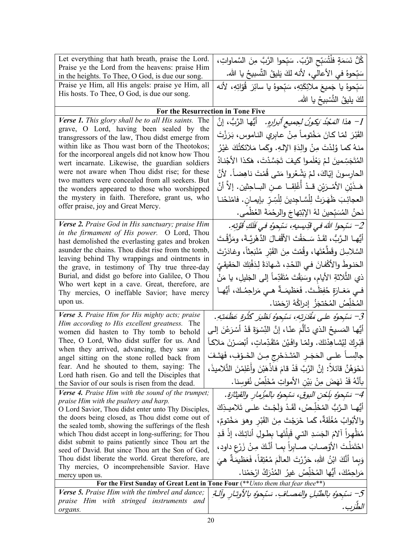| Let everything that hath breath, praise the Lord.                                                       |                                                                                      |
|---------------------------------------------------------------------------------------------------------|--------------------------------------------------------------------------------------|
| Praise ye the Lord from the heavens: praise Him                                                         | كُلُّ نَسَمَةٍ فلْتُسَبِّحِ الرَّبِّ. سَبِّحوا الرَّبَّ مِنَ السَّماواتِ،            |
| in the heights. To Thee, O God, is due our song.                                                        | سَبِّحوهُ في الأعالي، لأنه لكَ يَليقُ التَّسبيحُ يا الله.                            |
| Praise ye Him, all His angels: praise ye Him, all                                                       | سَبّحوهُ يا جَميعَ ملائِكَتِهِ، سَبّحوهُ يا سائِرَ  قُوّاتِهِ، لأنه                  |
| His hosts. To Thee, O God, is due our song.                                                             | لكَ يليقُ التَّسْبِيحُ يا الله.                                                      |
|                                                                                                         | For the Resurrection in Tone Five                                                    |
| Verse 1. This glory shall be to all His saints. The                                                     | 1– هذ <i>ا المَحْدُ يَكونُ لِجِميعِ أبْرارِهِ.</i> أَيُّها الرَّبُّ، إنَّ            |
| grave, O Lord, having been sealed by the                                                                |                                                                                      |
| transgressors of the law, Thou didst emerge from                                                        | القَبْرَ لمّا كانَ مَخْتوماً مِنْ عابِرِي النـاموس، بَرَزْتَ                         |
| within like as Thou wast born of the Theotokos;                                                         | منـهُ كمـا وُلدْتَ مِنْ والِدَةِ الإِلـهِ. وكَمـا مَلائكتُكَ غَيْرُ                  |
| for the incorporeal angels did not know how Thou                                                        | المُتَجَسِّمينَ لـمْ يَعْلَموا كيفَ تَجَسَّدْتَ، هَكذا الأَجْنادُ                    |
| wert incarnate. Likewise, the guardian soldiers<br>were not aware when Thou didst rise; for these       |                                                                                      |
| two matters were concealed from all seekers. But                                                        | الحارسونَ إِيَّاكَ، لَمْ يَشْعُرُوا مَتَّى قُمْتَ ناهِضاً. لأَنَّ                    |
| the wonders appeared to those who worshipped                                                            | هَـذَيْنِ الأَمْـرَيْنِ قــدْ أَغْلِقــا عــنِ البــاحِثينِ. إلاّ أنَّ               |
| the mystery in faith. Therefore, grant us, who                                                          | العجائِبَ ظَهَرَتْ لِلْسَّاجِدِينَ لِلْسِّرِّ بِإِيمـانِ. فامْنَحْنـا                |
| offer praise, joy and Great Mercy.                                                                      | نَحنُ المُسَبِّحينَ لهُ الإِبْتِهاجَ والرحْمَةَ العُظْمى.                            |
| <b>Verse 2.</b> Praise God in His sanctuary; praise Him                                                 | 2– سَبْحوا اللهَ في قَدِيسِيهِ، سَبْحوهُ في فَلَكِ قُوَّتِهِ.                        |
| in the firmament of His power. O Lord, Thou                                                             | أَيُّهـا الـرَّبُّ، لقَدْ سَـحَقْتَ الأَقْفـالَ الدَّهْرِيَّـةَ، ومَزَّقْـتَ         |
| hast demolished the everlasting gates and broken<br>asunder the chains. Thou didst rise from the tomb,  |                                                                                      |
| leaving behind Thy wrappings and ointments in                                                           | السَّلاسِلَ وقَطَّعْتَها، وقُمْتَ مِنَ القَبْرِ مُنْبَعِثَاً، وغادَرْتَ              |
| the grave, in testimony of Thy true three-day                                                           | الحَنوطَ والأَكْفانَ فـي اللَّــدِ، شَـهادَةً لِدَفْنِكَ الْحَقيقـيّ                 |
| Burial, and didst go before into Galilee, O Thou                                                        | ذي الثِّلاثةِ الأيام، وسَبَقْتَ مُتَقَدِّماً إلى الجَليلِ، يا مَنْ                   |
| Who wert kept in a cave. Great, therefore, are                                                          | فـي مَغـارَةٍ حُفِظَـتَ. فَعَظيمَـةٌ هـي مَراحِمُـكَ، أَيُّهـا                       |
| Thy mercies, O ineffable Savior; have mercy                                                             |                                                                                      |
| upon us.                                                                                                | المُخَلِّصُ المُحْتجَزُ إدراكُهُ ارْحَمْنا.                                          |
| Verse 3. Praise Him for His mighty acts; praise<br>Him according to His excellent greatness. The        | 3– سَبْحوُه على مُقْدَرتهِ، سَبْحوُه نَظْيَر كُثْرَةٍ عَظَمَتِهِ.                    |
| women did hasten to Thy tomb to behold                                                                  | أَيُّها المَسيحُ الذي تألَّمَ عنّا، إنَّ النِّسْوَةَ قَدْ أَسْرَعْنَ إلـى            |
| Thee, O Lord, Who didst suffer for us. And                                                              | قَبْرِكَ لِيُشاهِدْنَكَ. ولمّا وافَيْنَ مُتَقَدِّماتٍ، أَبْصَرْنَ مَلاكاً            |
| when they arrived, advancing, they saw an                                                               |                                                                                      |
| angel sitting on the stone rolled back from                                                             | جالِســاً علــى الحَجَــرِ المُتَـدَحْرِجِ مِــنَ الخَــوْفِ، فَهَتَـفَ              |
| fear. And he shouted to them, saying: The<br>Lord hath risen. Go and tell the Disciples that            | نَحْوَهُنَّ قَائِلاً: إِنَّ الرَّبَّ قَدْ قَامَ فَاذْهَبْنَ وأَعْلِمْنَ التَّلاميذَ، |
| the Savior of our souls is risen from the dead.                                                         | بِأَنَّهُ قَدْ نَهَضَ مِنْ بَيْنِ الأَمواتِ مُخَلِّصُ نُفوسنا.                       |
| Verse 4. Praise Him with the sound of the trumpet;                                                      | 4– سَبْحوُه بِلَحْنِ البوقِ، سَبْحوُه بِالمِزْمِارِ والقيثارَةِ.                     |
| praise Him with the psaltery and harp.<br>O Lord Savior, Thou didst enter unto Thy Disciples,           | أَيُّهـا الـرَّبُّ المُخَلِّـصُ، لَقَـدْ وَلَجْـتَ علــى تَلاميـذِكَ                 |
| the doors being closed, as Thou didst come out of                                                       |                                                                                      |
| the sealed tomb, showing the sufferings of the flesh                                                    | والأَبْوابُ مُغْلَقَةٌ، كَما خَرَجْتَ مِنَ القَبْرِ وهوَ مَخْتومٌ،                   |
| which Thou didst accept in long-suffering; for Thou                                                     | مُظْهِراً آلامَ الجَسَدِ التي قَبِلْتَها بِطولِ أناتِكَ، إذْ قَدِ                    |
| didst submit to pains patiently since Thou art the<br>seed of David. But since Thou art the Son of God, | احْتَمَلْتَ الأَوْصـابَ صـابراً بمـا أنَّكَ مِـنْ زَرْعِ داود،                       |
| Thou didst liberate the world. Great therefore, are                                                     | وَبِما أَنَّكَ ابْنُ اللهِ، حَرَّرْتَ العالَمَ مُعْتِقاً، فَعَظيمَةٌ هيَ             |
| Thy mercies, O incomprehensible Savior. Have                                                            | مَراحِمُكَ، أَيُّها المُخَلِّصُ غيرُ  المُدْرَكُ ارْحَمْنا.                          |
| mercy upon us.                                                                                          |                                                                                      |
| <b>Verse 5.</b> Praise Him with the timbrel and dance;                                                  | For the First Sunday of Great Lent in Tone Four (**Unto them that fear thee**)       |
| praise Him with stringed instruments and                                                                | 5– سَبْحِوُه بالطُّبلِ والمَصـافِ. سَبْحِوُه بالأوتـار وآلـةِ                        |
| organs.                                                                                                 | الطرب                                                                                |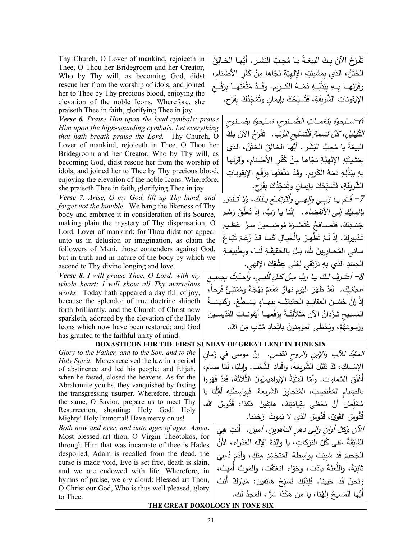| Thy Church, O Lover of mankind, rejoiceth in<br>Thee, O Thou her Bridegroom and her Creator,          | تَفْرَحُ الآنَ بِكَ البِيعَـةُ يـا مُحِبَّ النِّشَرِ . أَيُّهـا الْخـالِقُ               |
|-------------------------------------------------------------------------------------------------------|------------------------------------------------------------------------------------------|
| Who by Thy will, as becoming God, didst                                                               | الْخَتَنُ، الذي بِمَشيئَتِهِ الإلهِيَّةِ نَجّاها مِنْ كُفْرِ الأَصْنامِ،                 |
| rescue her from the worship of idols, and joined                                                      | وقَرَنَهـا بِـهِ بِبَذْلِـهِ دَمَــهُ الكَــريمِ. وقَـدْ مَتَّعْتَهـا بِرَفْــعِ         |
| her to Thee by Thy precious blood, enjoying the                                                       |                                                                                          |
| elevation of the noble Icons. Wherefore, she                                                          | الإيقوناتِ الشَّريفَةِ، فَتُسبِّحُكَ بإيمانِ وتُمَجِّدُكَ بِفَرَحٍ.                      |
| praiseth Thee in faith, glorifying Thee in joy.                                                       |                                                                                          |
| Verse 6. Praise Him upon the loud cymbals: praise                                                     | 6-سَتِجوهُ بِنَغَمـاتِ الصُّـنوجِ، سَتَجوهُ بِصُـنوجِ                                    |
| Him upon the high-sounding cymbals. Let everything                                                    |                                                                                          |
| that hath breath praise the Lord. Thy Church, O                                                       | التَّهُليلِ، كُلُّ نَسَمةٍ فَلْتَسَبِّحِ الرَّبِّ. ۚ قَفْرَحُ الآنَ بِكَ                 |
| Lover of mankind, rejoiceth in Thee, O Thou her                                                       | البيعَةُ يا مُحِبَّ البَشَرِ . أَيُّها الْخالِقُ الخَتَنُ، الذي                          |
| Bridegroom and her Creator, Who by Thy will, as<br>becoming God, didst rescue her from the worship of | بِمَشيئَتِهِ الإلهِيَّةِ نَجّاها مِنْ كُفْرِ الأَصْنامِ، وقَرَنَها                       |
| idols, and joined her to Thee by Thy precious blood,                                                  |                                                                                          |
| enjoying the elevation of the noble Icons. Wherefore,                                                 | بِهِ بِبَذْلِهِ دَمَهُ الكَرِيمِ. وقَدْ مَتَّعْتَها بِرَفْعِ الإِيقوناتِ                 |
| she praiseth Thee in faith, glorifying Thee in joy.                                                   | الشَّرِيفَةِ، فَتُسبِّحُكَ بإيمانِ وتُمَجِّدُكَ بِفَرَحٍ.                                |
| Verse 7. Arise, O my God, lift up Thy hand, and                                                       |                                                                                          |
| forget not the humble. We hang the likeness of Thy                                                    | 7– قُدْم بيا رَبِّي والِهي ولْتَرْتَفِعُ بِدُكَ، ولا تَدْسَ                              |
| body and embrace it in consideration of its Source,                                                   | <i>بائِسِكَ إلى الانقضاءِ.</i> إنَّنا يا رَبُّ، إذْ نُعَلِّقُ رَسْمَ                     |
| making plain the mystery of Thy dispensation, O                                                       | جَسَدِكَ، فنُصــافِحُ عُنْصُـرَهُ مُوضِـحينَ سِـرَّ عَظـيم                               |
| Lord, Lover of mankind; for Thou didst not appear                                                     | تَدْبِيرِكَ. إِذْ لَمْ تَظْهَرْ بِالْخَيالِ كَما قَدْ زَعَمَ ثُبّاعَ                     |
| unto us in delusion or imagination, as claim the<br>followers of Mani, those contenders against God,  |                                                                                          |
| but in truth and in nature of the body by which we                                                    | مـانـى المُحـاربينَ لله، بَـلْ بالحَقيقَـةِ لَنـا، وبِطَبيعَـةِ                          |
| ascend to Thy divine longing and love.                                                                | الْجَسَدِ الذي بِهِ نَرْتَقي لِعُلَى عِشْقِكَ الإِلْهي.                                  |
| Verse 8. I will praise Thee, O Lord, with my                                                          |                                                                                          |
| whole heart: I will show all Thy marvelous                                                            | 8– أعتَـرِفُ لـكَ يـا رَبُّ مـِنْ كـلِّ قَلْبـي، وأَحدَثُ بجميـع                         |
| works. Today hath appeared a day full of joy,                                                         | صَ <i>جائِبِكْ.</i> لَقَدْ ظَهَرَ  اليَوم نهارٌ  مُفْعَمٌ بَهْجَةً ومُمْتَلِئٌ فَرَحاً ، |
| because the splendor of true doctrine shineth                                                         | إِذْ إِنَّ حُسْـنَ العقائِــدِ الْحَقيقيَّــةِ بِبَهــاءٍ يَسْــطُعُ، وكَنيسَــةُ        |
| forth brilliantly, and the Church of Christ now                                                       |                                                                                          |
| sparkleth, adorned by the elevation of the Holy                                                       | المَسـيح تَـزْدانُ الآنَ مُتَلأَلِنَـةً بِرَفْعِهـا أَيْقونــاتِ القَدّيسـينَ            |
| Icons which now have been restored; and God                                                           | ورُسومَهُمْ، ويَحْظى المؤمِنونَ باتِّحادٍ مُثابٍ مِنَ الله.                              |
| has granted to the faithful unity of mind.                                                            |                                                                                          |
|                                                                                                       | DOXASTICON FOR THE FIRST SUNDAY OF GREAT LENT IN TONE SIX                                |
| Glory to the Father, and to the Son, and to the                                                       | <i>المَجْدُ للأبِ والإبن والروح القدّس.</i> إنَّ موسى في زَمان                           |
| Holy Spirit. Moses received the law in a period<br>of abstinence and led his people; and Elijah,      | الإِمْساكِ، قَدْ تَقَبَّلَ الشَّرِيعَةَ، واقْتادَ الشَّعْبَ. وايليّا، لَمّا صامَ،        |
| when he fasted, closed the heavens. As for the                                                        | أَغْلَقَ السَّماوات. وأمّا الفِتْيَةُ الإبراهيميّونَ الثَّلاثَةَ، فَقَدْ قَهَروا         |
| Abrahamite youths, they vanquished by fasting                                                         |                                                                                          |
| the transgressing usurper. Wherefore, through                                                         | بالصِّيامِ المُغْتَصِبَ، المُتَجاوِزَ الشَّريعة. فَبِواسِطَتِهِ أَهِّلْنا يا             |
| the same, O Savior, prepare us to meet Thy                                                            | مُخَلِّصُ أَنْ نَحْظَى بِقِيامَتِكَ، هاتِفينَ هكذا: قُدُّوسٌ الله،                       |
| shouting: Holy God! Holy<br>Resurrection,                                                             |                                                                                          |
| Mighty! Holy Immortal! Have mercy on us!                                                              | قُدُّوسٌ القَوِيِّ، قُدُّوسٌ الذي لا يَموتُ ارْحَمْنا.                                   |
| Both now and ever, and unto ages of ages. Amen.                                                       | الآنَ وكلَّ أوانِ وإلى دهرِ الداهرينَ. آمين.  أنتِ هِيَ                                  |
| Most blessed art thou, O Virgin Theotokos, for                                                        | الفائِقَةُ عَلَى كُلِّ البَرَكاتِ، يا والدَةَ الإِلَهِ العَذراءِ، لأَنَّ                 |
| through Him that was incarnate of thee is Hades                                                       |                                                                                          |
| despoiled, Adam is recalled from the dead, the                                                        | الْجَحيمَ قَد سُبِيَت بواسِطَةِ الْمُتَجَسِّدِ مِنكِ، وَآدَمَ دُعِيَ                     |
| curse is made void, Eve is set free, death is slain,<br>and we are endowed with life. Wherefore, in   | ثانِيَةً، واللُّعنَةَ بادَت، وَحَوّاءَ انعَتَقَت، والمَوتَ أُميتَ،                       |
| hymns of praise, we cry aloud: Blessed art Thou,                                                      |                                                                                          |
| O Christ our God, Who is thus well pleased, glory                                                     | وَنَحنُ قَد حَيينا. فَلِذَلِكَ نُسَبِّحُ هاتِفين: مُبارَكٌ أنتَ                          |
| to Thee.                                                                                              | أَيُّها المَسيحُ إِلَهُنا، يا مَن هَكَذا سُرَّ ، المَجدُ لَك.                            |
|                                                                                                       | THE GREAT DOXOLOGY IN TONE SIX                                                           |